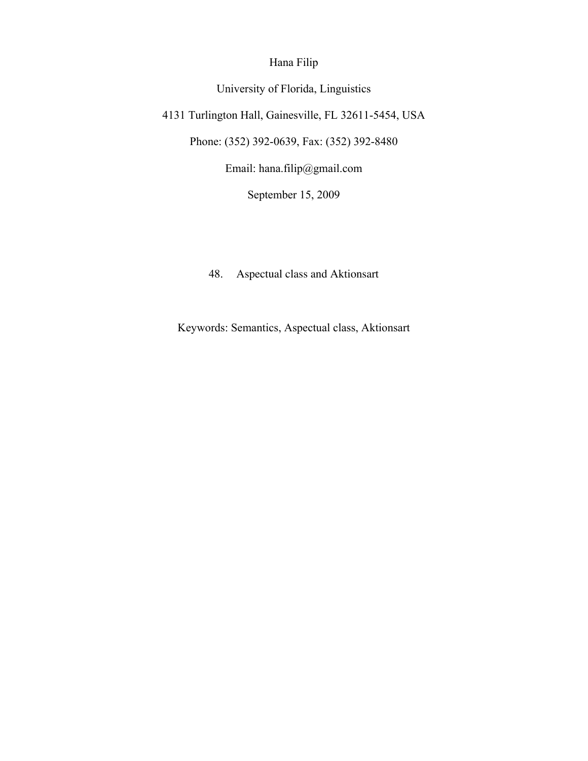# Hana Filip

University of Florida, Linguistics

4131 Turlington Hall, Gainesville, FL 32611-5454, USA

Phone: (352) 392-0639, Fax: (352) 392-8480

Email: hana.filip@gmail.com

September 15, 2009

# 48. Aspectual class and Aktionsart

Keywords: Semantics, Aspectual class, Aktionsart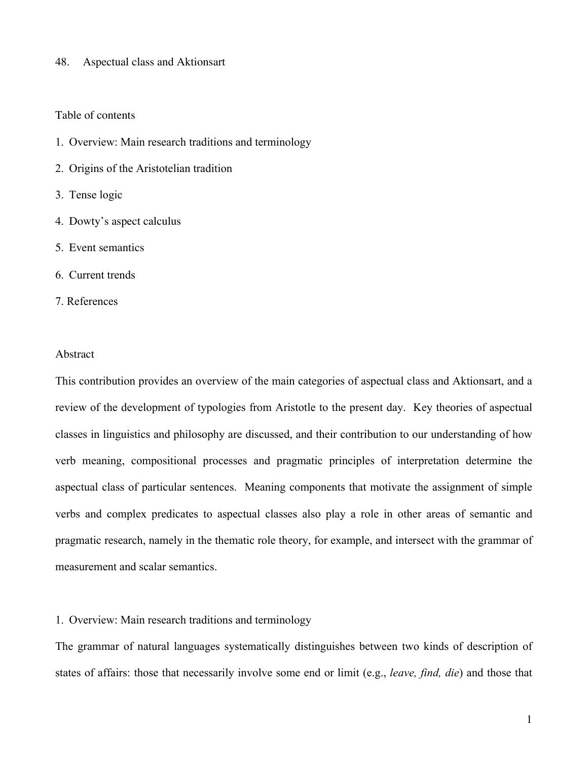#### 48. Aspectual class and Aktionsart

#### Table of contents

- 1. Overview: Main research traditions and terminology
- 2. Origins of the Aristotelian tradition
- 3. Tense logic
- 4. Dowty's aspect calculus
- 5. Event semantics
- 6. Current trends

# 7. References

### Abstract

This contribution provides an overview of the main categories of aspectual class and Aktionsart, and a review of the development of typologies from Aristotle to the present day. Key theories of aspectual classes in linguistics and philosophy are discussed, and their contribution to our understanding of how verb meaning, compositional processes and pragmatic principles of interpretation determine the aspectual class of particular sentences. Meaning components that motivate the assignment of simple verbs and complex predicates to aspectual classes also play a role in other areas of semantic and pragmatic research, namely in the thematic role theory, for example, and intersect with the grammar of measurement and scalar semantics.

#### 1. Overview: Main research traditions and terminology

The grammar of natural languages systematically distinguishes between two kinds of description of states of affairs: those that necessarily involve some end or limit (e.g., *leave, find, die*) and those that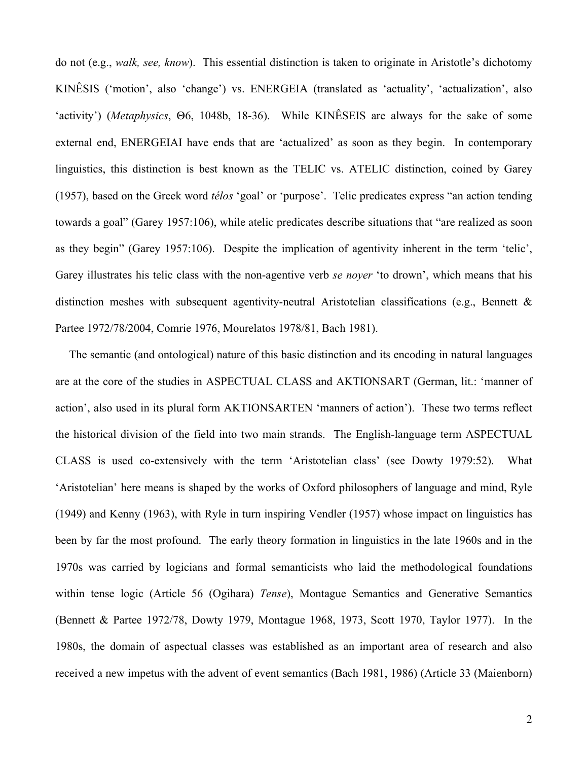do not (e.g., *walk, see, know*). This essential distinction is taken to originate in Aristotle's dichotomy KINÊSIS ('motion', also 'change') vs. ENERGEIA (translated as 'actuality', 'actualization', also 'activity') (*Metaphysics*, Θ6, 1048b, 18-36). While KINÊSEIS are always for the sake of some external end, ENERGEIAI have ends that are 'actualized' as soon as they begin. In contemporary linguistics, this distinction is best known as the TELIC vs. ATELIC distinction, coined by Garey (1957), based on the Greek word *télos* 'goal' or 'purpose'. Telic predicates express "an action tending towards a goal" (Garey 1957:106), while atelic predicates describe situations that "are realized as soon as they begin" (Garey 1957:106). Despite the implication of agentivity inherent in the term 'telic', Garey illustrates his telic class with the non-agentive verb *se noyer* 'to drown', which means that his distinction meshes with subsequent agentivity-neutral Aristotelian classifications (e.g., Bennett & Partee 1972/78/2004, Comrie 1976, Mourelatos 1978/81, Bach 1981).

The semantic (and ontological) nature of this basic distinction and its encoding in natural languages are at the core of the studies in ASPECTUAL CLASS and AKTIONSART (German, lit.: 'manner of action', also used in its plural form AKTIONSARTEN 'manners of action'). These two terms reflect the historical division of the field into two main strands. The English-language term ASPECTUAL CLASS is used co-extensively with the term 'Aristotelian class' (see Dowty 1979:52). What 'Aristotelian' here means is shaped by the works of Oxford philosophers of language and mind, Ryle (1949) and Kenny (1963), with Ryle in turn inspiring Vendler (1957) whose impact on linguistics has been by far the most profound. The early theory formation in linguistics in the late 1960s and in the 1970s was carried by logicians and formal semanticists who laid the methodological foundations within tense logic (Article 56 (Ogihara) *Tense*), Montague Semantics and Generative Semantics (Bennett & Partee 1972/78, Dowty 1979, Montague 1968, 1973, Scott 1970, Taylor 1977). In the 1980s, the domain of aspectual classes was established as an important area of research and also received a new impetus with the advent of event semantics (Bach 1981, 1986) (Article 33 (Maienborn)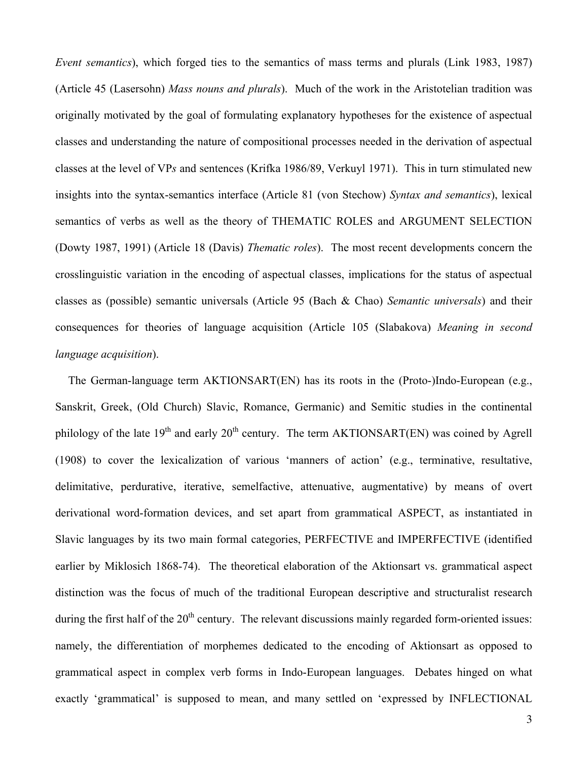*Event semantics*), which forged ties to the semantics of mass terms and plurals (Link 1983, 1987) (Article 45 (Lasersohn) *Mass nouns and plurals*). Much of the work in the Aristotelian tradition was originally motivated by the goal of formulating explanatory hypotheses for the existence of aspectual classes and understanding the nature of compositional processes needed in the derivation of aspectual classes at the level of VP*s* and sentences (Krifka 1986/89, Verkuyl 1971). This in turn stimulated new insights into the syntax-semantics interface (Article 81 (von Stechow) *Syntax and semantics*), lexical semantics of verbs as well as the theory of THEMATIC ROLES and ARGUMENT SELECTION (Dowty 1987, 1991) (Article 18 (Davis) *Thematic roles*). The most recent developments concern the crosslinguistic variation in the encoding of aspectual classes, implications for the status of aspectual classes as (possible) semantic universals (Article 95 (Bach & Chao) *Semantic universals*) and their consequences for theories of language acquisition (Article 105 (Slabakova) *Meaning in second language acquisition*).

The German-language term AKTIONSART(EN) has its roots in the (Proto-)Indo-European (e.g., Sanskrit, Greek, (Old Church) Slavic, Romance, Germanic) and Semitic studies in the continental philology of the late  $19<sup>th</sup>$  and early  $20<sup>th</sup>$  century. The term AKTIONSART(EN) was coined by Agrell (1908) to cover the lexicalization of various 'manners of action' (e.g., terminative, resultative, delimitative, perdurative, iterative, semelfactive, attenuative, augmentative) by means of overt derivational word-formation devices, and set apart from grammatical ASPECT, as instantiated in Slavic languages by its two main formal categories, PERFECTIVE and IMPERFECTIVE (identified earlier by Miklosich 1868-74). The theoretical elaboration of the Aktionsart vs. grammatical aspect distinction was the focus of much of the traditional European descriptive and structuralist research during the first half of the  $20<sup>th</sup>$  century. The relevant discussions mainly regarded form-oriented issues: namely, the differentiation of morphemes dedicated to the encoding of Aktionsart as opposed to grammatical aspect in complex verb forms in Indo-European languages. Debates hinged on what exactly 'grammatical' is supposed to mean, and many settled on 'expressed by INFLECTIONAL

3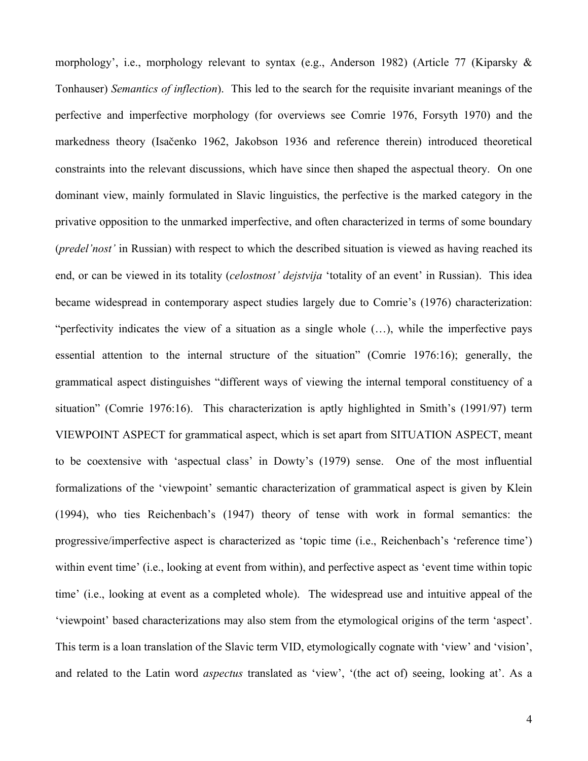morphology', i.e., morphology relevant to syntax (e.g., Anderson 1982) (Article 77 (Kiparsky & Tonhauser) *Semantics of inflection*). This led to the search for the requisite invariant meanings of the perfective and imperfective morphology (for overviews see Comrie 1976, Forsyth 1970) and the markedness theory (Isačenko 1962, Jakobson 1936 and reference therein) introduced theoretical constraints into the relevant discussions, which have since then shaped the aspectual theory. On one dominant view, mainly formulated in Slavic linguistics, the perfective is the marked category in the privative opposition to the unmarked imperfective, and often characterized in terms of some boundary (*predel'nost'* in Russian) with respect to which the described situation is viewed as having reached its end, or can be viewed in its totality (*celostnost' dejstvija* 'totality of an event' in Russian). This idea became widespread in contemporary aspect studies largely due to Comrie's (1976) characterization: "perfectivity indicates the view of a situation as a single whole (…), while the imperfective pays essential attention to the internal structure of the situation" (Comrie 1976:16); generally, the grammatical aspect distinguishes "different ways of viewing the internal temporal constituency of a situation" (Comrie 1976:16). This characterization is aptly highlighted in Smith's (1991/97) term VIEWPOINT ASPECT for grammatical aspect, which is set apart from SITUATION ASPECT, meant to be coextensive with 'aspectual class' in Dowty's (1979) sense. One of the most influential formalizations of the 'viewpoint' semantic characterization of grammatical aspect is given by Klein (1994), who ties Reichenbach's (1947) theory of tense with work in formal semantics: the progressive/imperfective aspect is characterized as 'topic time (i.e., Reichenbach's 'reference time') within event time' (i.e., looking at event from within), and perfective aspect as 'event time within topic time' (i.e., looking at event as a completed whole). The widespread use and intuitive appeal of the 'viewpoint' based characterizations may also stem from the etymological origins of the term 'aspect'. This term is a loan translation of the Slavic term VID, etymologically cognate with 'view' and 'vision', and related to the Latin word *aspectus* translated as 'view', '(the act of) seeing, looking at'. As a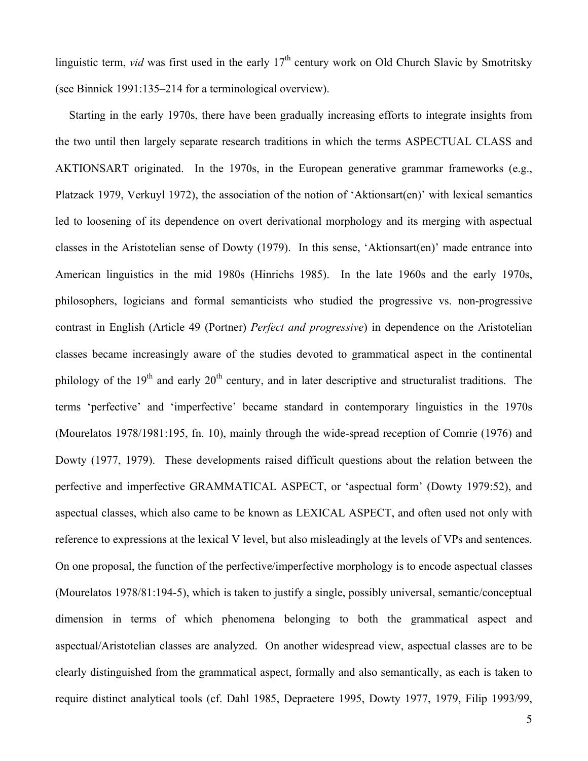linguistic term, *vid* was first used in the early 17<sup>th</sup> century work on Old Church Slavic by Smotritsky (see Binnick 1991:135–214 for a terminological overview).

Starting in the early 1970s, there have been gradually increasing efforts to integrate insights from the two until then largely separate research traditions in which the terms ASPECTUAL CLASS and AKTIONSART originated. In the 1970s, in the European generative grammar frameworks (e.g., Platzack 1979, Verkuyl 1972), the association of the notion of 'Aktionsart(en)' with lexical semantics led to loosening of its dependence on overt derivational morphology and its merging with aspectual classes in the Aristotelian sense of Dowty (1979). In this sense, 'Aktionsart(en)' made entrance into American linguistics in the mid 1980s (Hinrichs 1985). In the late 1960s and the early 1970s, philosophers, logicians and formal semanticists who studied the progressive vs. non-progressive contrast in English (Article 49 (Portner) *Perfect and progressive*) in dependence on the Aristotelian classes became increasingly aware of the studies devoted to grammatical aspect in the continental philology of the  $19<sup>th</sup>$  and early  $20<sup>th</sup>$  century, and in later descriptive and structuralist traditions. The terms 'perfective' and 'imperfective' became standard in contemporary linguistics in the 1970s (Mourelatos 1978/1981:195, fn. 10), mainly through the wide-spread reception of Comrie (1976) and Dowty (1977, 1979). These developments raised difficult questions about the relation between the perfective and imperfective GRAMMATICAL ASPECT, or 'aspectual form' (Dowty 1979:52), and aspectual classes, which also came to be known as LEXICAL ASPECT, and often used not only with reference to expressions at the lexical V level, but also misleadingly at the levels of VPs and sentences. On one proposal, the function of the perfective/imperfective morphology is to encode aspectual classes (Mourelatos 1978/81:194-5), which is taken to justify a single, possibly universal, semantic/conceptual dimension in terms of which phenomena belonging to both the grammatical aspect and aspectual/Aristotelian classes are analyzed. On another widespread view, aspectual classes are to be clearly distinguished from the grammatical aspect, formally and also semantically, as each is taken to require distinct analytical tools (cf. Dahl 1985, Depraetere 1995, Dowty 1977, 1979, Filip 1993/99,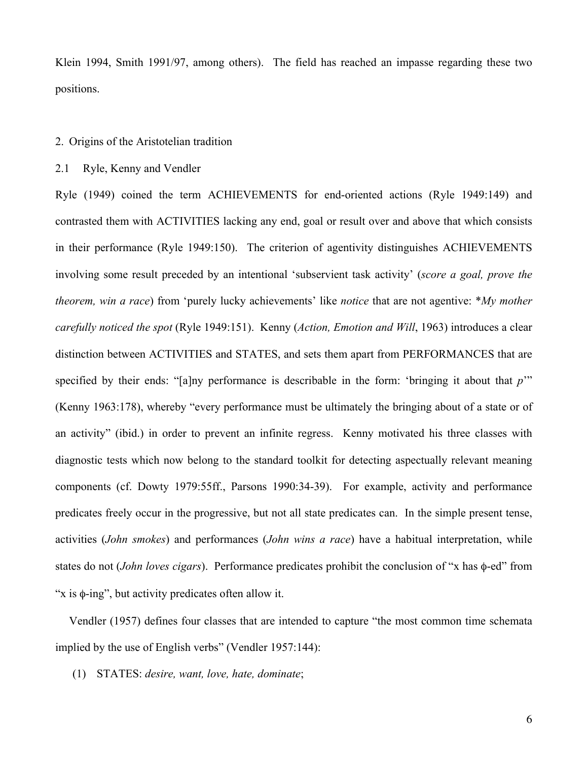Klein 1994, Smith 1991/97, among others). The field has reached an impasse regarding these two positions.

#### 2. Origins of the Aristotelian tradition

#### 2.1 Ryle, Kenny and Vendler

Ryle (1949) coined the term ACHIEVEMENTS for end-oriented actions (Ryle 1949:149) and contrasted them with ACTIVITIES lacking any end, goal or result over and above that which consists in their performance (Ryle 1949:150). The criterion of agentivity distinguishes ACHIEVEMENTS involving some result preceded by an intentional 'subservient task activity' (*score a goal, prove the theorem, win a race*) from 'purely lucky achievements' like *notice* that are not agentive: \**My mother carefully noticed the spot* (Ryle 1949:151). Kenny (*Action, Emotion and Will*, 1963) introduces a clear distinction between ACTIVITIES and STATES, and sets them apart from PERFORMANCES that are specified by their ends: "[a]ny performance is describable in the form: 'bringing it about that *p*'" (Kenny 1963:178), whereby "every performance must be ultimately the bringing about of a state or of an activity" (ibid.) in order to prevent an infinite regress. Kenny motivated his three classes with diagnostic tests which now belong to the standard toolkit for detecting aspectually relevant meaning components (cf. Dowty 1979:55ff., Parsons 1990:34-39). For example, activity and performance predicates freely occur in the progressive, but not all state predicates can. In the simple present tense, activities (*John smokes*) and performances (*John wins a race*) have a habitual interpretation, while states do not (*John loves cigars*). Performance predicates prohibit the conclusion of "x has φ-ed" from "x is φ-ing", but activity predicates often allow it.

Vendler (1957) defines four classes that are intended to capture "the most common time schemata implied by the use of English verbs" (Vendler 1957:144):

(1) STATES: *desire, want, love, hate, dominate*;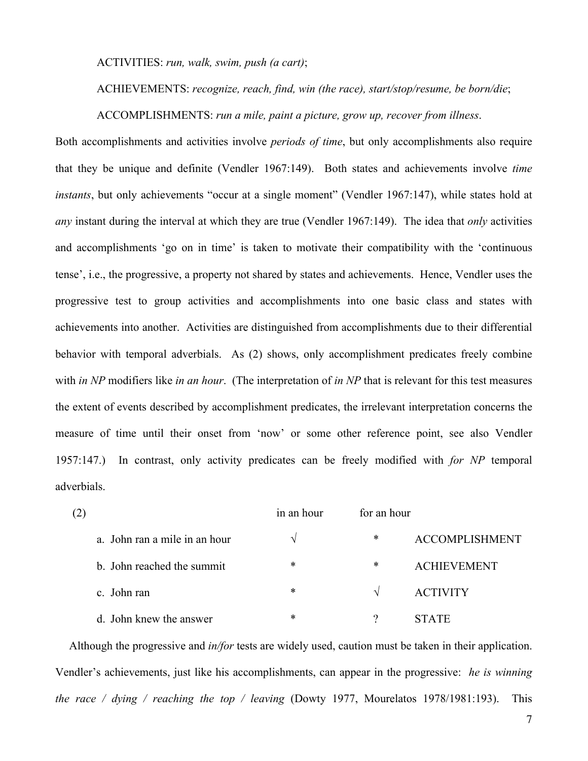ACTIVITIES: *run, walk, swim, push (a cart)*;

ACHIEVEMENTS: *recognize, reach, find, win (the race), start/stop/resume, be born/die*;

ACCOMPLISHMENTS: *run a mile, paint a picture, grow up, recover from illness*.

Both accomplishments and activities involve *periods of time*, but only accomplishments also require that they be unique and definite (Vendler 1967:149). Both states and achievements involve *time instants*, but only achievements "occur at a single moment" (Vendler 1967:147), while states hold at *any* instant during the interval at which they are true (Vendler 1967:149). The idea that *only* activities and accomplishments 'go on in time' is taken to motivate their compatibility with the 'continuous tense', i.e., the progressive, a property not shared by states and achievements. Hence, Vendler uses the progressive test to group activities and accomplishments into one basic class and states with achievements into another. Activities are distinguished from accomplishments due to their differential behavior with temporal adverbials. As (2) shows, only accomplishment predicates freely combine with *in NP* modifiers like *in an hour*. (The interpretation of *in NP* that is relevant for this test measures the extent of events described by accomplishment predicates, the irrelevant interpretation concerns the measure of time until their onset from 'now' or some other reference point, see also Vendler 1957:147.) In contrast, only activity predicates can be freely modified with *for NP* temporal adverbials.

| (2) |                               | in an hour | for an hour |                       |
|-----|-------------------------------|------------|-------------|-----------------------|
|     | a. John ran a mile in an hour | N          | $\ast$      | <b>ACCOMPLISHMENT</b> |
|     | b. John reached the summit    | $\ast$     | $\ast$      | <b>ACHIEVEMENT</b>    |
|     | c. John ran                   | *          |             | <b>ACTIVITY</b>       |
|     | d. John knew the answer       | *          |             | $\mathsf{TATE}$       |

Although the progressive and *in/for* tests are widely used, caution must be taken in their application. Vendler's achievements, just like his accomplishments, can appear in the progressive: *he is winning the race / dying / reaching the top / leaving* (Dowty 1977, Mourelatos 1978/1981:193). This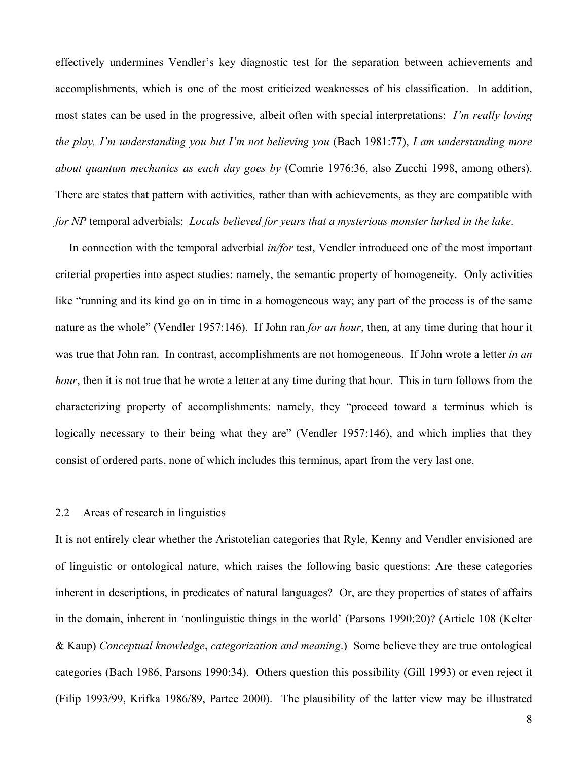effectively undermines Vendler's key diagnostic test for the separation between achievements and accomplishments, which is one of the most criticized weaknesses of his classification. In addition, most states can be used in the progressive, albeit often with special interpretations: *I'm really loving the play, I'm understanding you but I'm not believing you* (Bach 1981:77), *I am understanding more about quantum mechanics as each day goes by* (Comrie 1976:36, also Zucchi 1998, among others). There are states that pattern with activities, rather than with achievements, as they are compatible with *for NP* temporal adverbials: *Locals believed for years that a mysterious monster lurked in the lake*.

In connection with the temporal adverbial *in/for* test, Vendler introduced one of the most important criterial properties into aspect studies: namely, the semantic property of homogeneity. Only activities like "running and its kind go on in time in a homogeneous way; any part of the process is of the same nature as the whole" (Vendler 1957:146). If John ran *for an hour*, then, at any time during that hour it was true that John ran. In contrast, accomplishments are not homogeneous. If John wrote a letter *in an hour*, then it is not true that he wrote a letter at any time during that hour. This in turn follows from the characterizing property of accomplishments: namely, they "proceed toward a terminus which is logically necessary to their being what they are" (Vendler 1957:146), and which implies that they consist of ordered parts, none of which includes this terminus, apart from the very last one.

# 2.2 Areas of research in linguistics

It is not entirely clear whether the Aristotelian categories that Ryle, Kenny and Vendler envisioned are of linguistic or ontological nature, which raises the following basic questions: Are these categories inherent in descriptions, in predicates of natural languages? Or, are they properties of states of affairs in the domain, inherent in 'nonlinguistic things in the world' (Parsons 1990:20)? (Article 108 (Kelter & Kaup) *Conceptual knowledge*, *categorization and meaning*.) Some believe they are true ontological categories (Bach 1986, Parsons 1990:34). Others question this possibility (Gill 1993) or even reject it (Filip 1993/99, Krifka 1986/89, Partee 2000). The plausibility of the latter view may be illustrated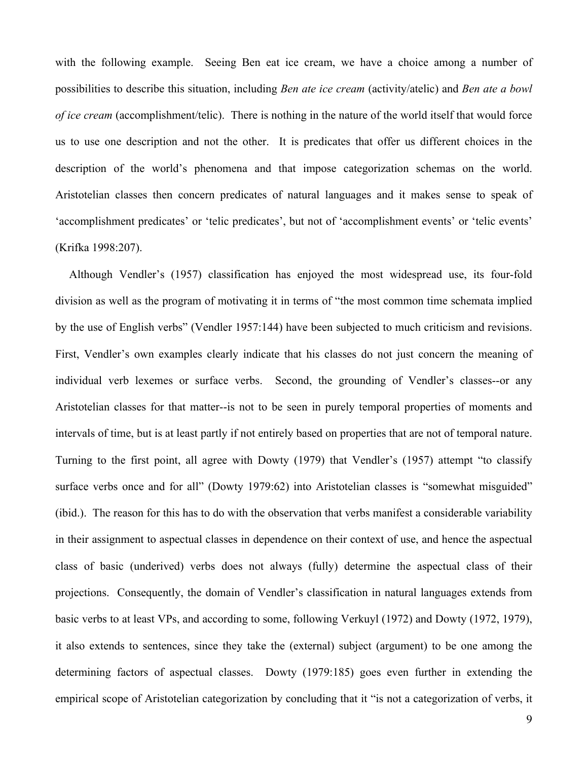with the following example. Seeing Ben eat ice cream, we have a choice among a number of possibilities to describe this situation, including *Ben ate ice cream* (activity/atelic) and *Ben ate a bowl of ice cream* (accomplishment/telic). There is nothing in the nature of the world itself that would force us to use one description and not the other. It is predicates that offer us different choices in the description of the world's phenomena and that impose categorization schemas on the world. Aristotelian classes then concern predicates of natural languages and it makes sense to speak of 'accomplishment predicates' or 'telic predicates', but not of 'accomplishment events' or 'telic events' (Krifka 1998:207).

Although Vendler's (1957) classification has enjoyed the most widespread use, its four-fold division as well as the program of motivating it in terms of "the most common time schemata implied by the use of English verbs" (Vendler 1957:144) have been subjected to much criticism and revisions. First, Vendler's own examples clearly indicate that his classes do not just concern the meaning of individual verb lexemes or surface verbs. Second, the grounding of Vendler's classes--or any Aristotelian classes for that matter--is not to be seen in purely temporal properties of moments and intervals of time, but is at least partly if not entirely based on properties that are not of temporal nature. Turning to the first point, all agree with Dowty (1979) that Vendler's (1957) attempt "to classify surface verbs once and for all" (Dowty 1979:62) into Aristotelian classes is "somewhat misguided" (ibid.). The reason for this has to do with the observation that verbs manifest a considerable variability in their assignment to aspectual classes in dependence on their context of use, and hence the aspectual class of basic (underived) verbs does not always (fully) determine the aspectual class of their projections. Consequently, the domain of Vendler's classification in natural languages extends from basic verbs to at least VPs, and according to some, following Verkuyl (1972) and Dowty (1972, 1979), it also extends to sentences, since they take the (external) subject (argument) to be one among the determining factors of aspectual classes. Dowty (1979:185) goes even further in extending the empirical scope of Aristotelian categorization by concluding that it "is not a categorization of verbs, it

9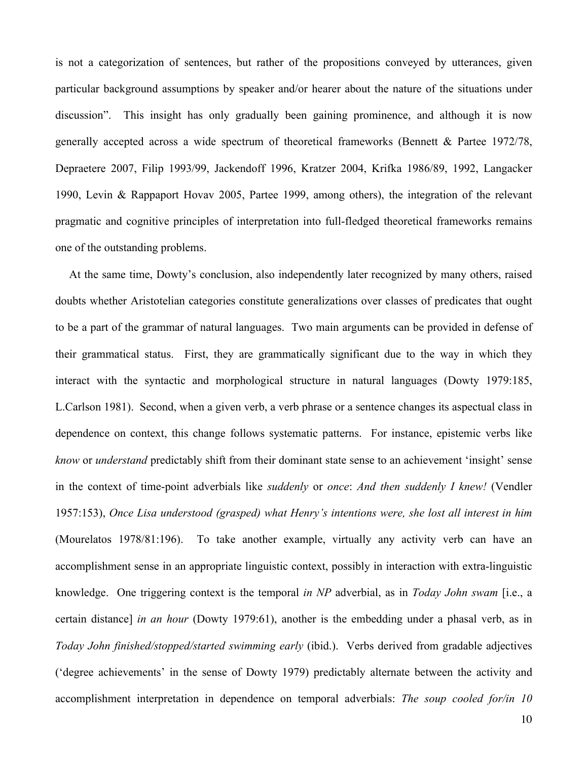is not a categorization of sentences, but rather of the propositions conveyed by utterances, given particular background assumptions by speaker and/or hearer about the nature of the situations under discussion". This insight has only gradually been gaining prominence, and although it is now generally accepted across a wide spectrum of theoretical frameworks (Bennett & Partee 1972/78, Depraetere 2007, Filip 1993/99, Jackendoff 1996, Kratzer 2004, Krifka 1986/89, 1992, Langacker 1990, Levin & Rappaport Hovav 2005, Partee 1999, among others), the integration of the relevant pragmatic and cognitive principles of interpretation into full-fledged theoretical frameworks remains one of the outstanding problems.

At the same time, Dowty's conclusion, also independently later recognized by many others, raised doubts whether Aristotelian categories constitute generalizations over classes of predicates that ought to be a part of the grammar of natural languages. Two main arguments can be provided in defense of their grammatical status. First, they are grammatically significant due to the way in which they interact with the syntactic and morphological structure in natural languages (Dowty 1979:185, L.Carlson 1981). Second, when a given verb, a verb phrase or a sentence changes its aspectual class in dependence on context, this change follows systematic patterns. For instance, epistemic verbs like *know* or *understand* predictably shift from their dominant state sense to an achievement 'insight' sense in the context of time-point adverbials like *suddenly* or *once*: *And then suddenly I knew!* (Vendler 1957:153), *Once Lisa understood (grasped) what Henry's intentions were, she lost all interest in him* (Mourelatos 1978/81:196). To take another example, virtually any activity verb can have an accomplishment sense in an appropriate linguistic context, possibly in interaction with extra-linguistic knowledge. One triggering context is the temporal *in NP* adverbial, as in *Today John swam* [i.e., a certain distance] *in an hour* (Dowty 1979:61), another is the embedding under a phasal verb, as in *Today John finished/stopped/started swimming early* (ibid.). Verbs derived from gradable adjectives ('degree achievements' in the sense of Dowty 1979) predictably alternate between the activity and accomplishment interpretation in dependence on temporal adverbials: *The soup cooled for/in 10* 

10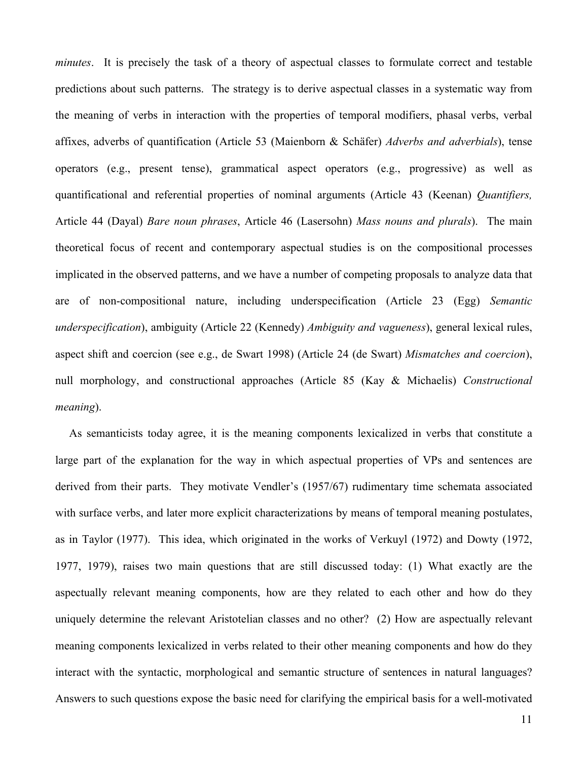*minutes*. It is precisely the task of a theory of aspectual classes to formulate correct and testable predictions about such patterns. The strategy is to derive aspectual classes in a systematic way from the meaning of verbs in interaction with the properties of temporal modifiers, phasal verbs, verbal affixes, adverbs of quantification (Article 53 (Maienborn & Schäfer) *Adverbs and adverbials*), tense operators (e.g., present tense), grammatical aspect operators (e.g., progressive) as well as quantificational and referential properties of nominal arguments (Article 43 (Keenan) *Quantifiers,*  Article 44 (Dayal) *Bare noun phrases*, Article 46 (Lasersohn) *Mass nouns and plurals*). The main theoretical focus of recent and contemporary aspectual studies is on the compositional processes implicated in the observed patterns, and we have a number of competing proposals to analyze data that are of non-compositional nature, including underspecification (Article 23 (Egg) *Semantic underspecification*), ambiguity (Article 22 (Kennedy) *Ambiguity and vagueness*), general lexical rules, aspect shift and coercion (see e.g., de Swart 1998) (Article 24 (de Swart) *Mismatches and coercion*), null morphology, and constructional approaches (Article 85 (Kay & Michaelis) *Constructional meaning*).

As semanticists today agree, it is the meaning components lexicalized in verbs that constitute a large part of the explanation for the way in which aspectual properties of VPs and sentences are derived from their parts. They motivate Vendler's (1957/67) rudimentary time schemata associated with surface verbs, and later more explicit characterizations by means of temporal meaning postulates, as in Taylor (1977). This idea, which originated in the works of Verkuyl (1972) and Dowty (1972, 1977, 1979), raises two main questions that are still discussed today: (1) What exactly are the aspectually relevant meaning components, how are they related to each other and how do they uniquely determine the relevant Aristotelian classes and no other? (2) How are aspectually relevant meaning components lexicalized in verbs related to their other meaning components and how do they interact with the syntactic, morphological and semantic structure of sentences in natural languages? Answers to such questions expose the basic need for clarifying the empirical basis for a well-motivated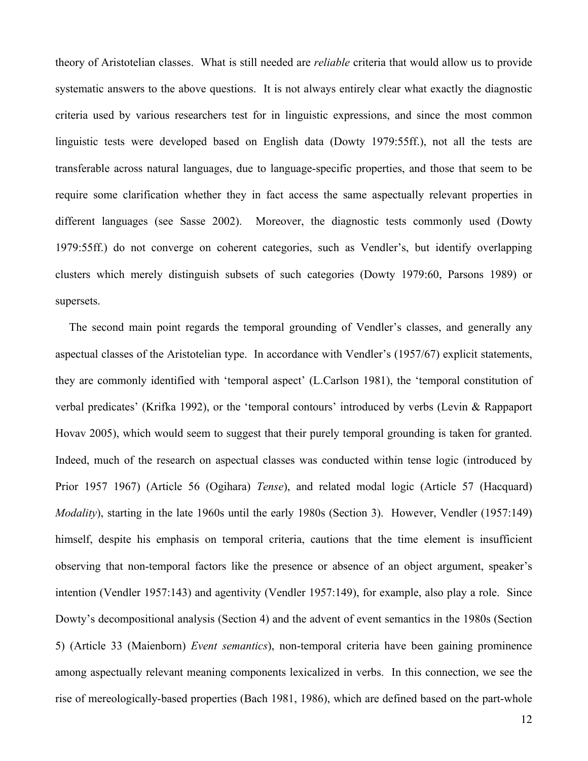theory of Aristotelian classes. What is still needed are *reliable* criteria that would allow us to provide systematic answers to the above questions. It is not always entirely clear what exactly the diagnostic criteria used by various researchers test for in linguistic expressions, and since the most common linguistic tests were developed based on English data (Dowty 1979:55ff.), not all the tests are transferable across natural languages, due to language-specific properties, and those that seem to be require some clarification whether they in fact access the same aspectually relevant properties in different languages (see Sasse 2002). Moreover, the diagnostic tests commonly used (Dowty 1979:55ff.) do not converge on coherent categories, such as Vendler's, but identify overlapping clusters which merely distinguish subsets of such categories (Dowty 1979:60, Parsons 1989) or supersets.

The second main point regards the temporal grounding of Vendler's classes, and generally any aspectual classes of the Aristotelian type. In accordance with Vendler's (1957/67) explicit statements, they are commonly identified with 'temporal aspect' (L.Carlson 1981), the 'temporal constitution of verbal predicates' (Krifka 1992), or the 'temporal contours' introduced by verbs (Levin & Rappaport Hovav 2005), which would seem to suggest that their purely temporal grounding is taken for granted. Indeed, much of the research on aspectual classes was conducted within tense logic (introduced by Prior 1957 1967) (Article 56 (Ogihara) *Tense*), and related modal logic (Article 57 (Hacquard) *Modality*), starting in the late 1960s until the early 1980s (Section 3). However, Vendler (1957:149) himself, despite his emphasis on temporal criteria, cautions that the time element is insufficient observing that non-temporal factors like the presence or absence of an object argument, speaker's intention (Vendler 1957:143) and agentivity (Vendler 1957:149), for example, also play a role. Since Dowty's decompositional analysis (Section 4) and the advent of event semantics in the 1980s (Section 5) (Article 33 (Maienborn) *Event semantics*), non-temporal criteria have been gaining prominence among aspectually relevant meaning components lexicalized in verbs. In this connection, we see the rise of mereologically-based properties (Bach 1981, 1986), which are defined based on the part-whole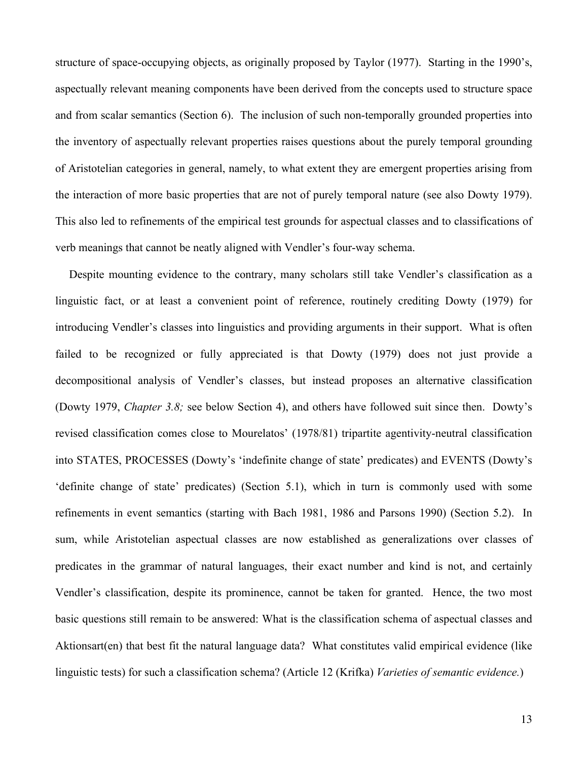structure of space-occupying objects, as originally proposed by Taylor (1977). Starting in the 1990's, aspectually relevant meaning components have been derived from the concepts used to structure space and from scalar semantics (Section 6). The inclusion of such non-temporally grounded properties into the inventory of aspectually relevant properties raises questions about the purely temporal grounding of Aristotelian categories in general, namely, to what extent they are emergent properties arising from the interaction of more basic properties that are not of purely temporal nature (see also Dowty 1979). This also led to refinements of the empirical test grounds for aspectual classes and to classifications of verb meanings that cannot be neatly aligned with Vendler's four-way schema.

Despite mounting evidence to the contrary, many scholars still take Vendler's classification as a linguistic fact, or at least a convenient point of reference, routinely crediting Dowty (1979) for introducing Vendler's classes into linguistics and providing arguments in their support. What is often failed to be recognized or fully appreciated is that Dowty (1979) does not just provide a decompositional analysis of Vendler's classes, but instead proposes an alternative classification (Dowty 1979, *Chapter 3.8;* see below Section 4), and others have followed suit since then. Dowty's revised classification comes close to Mourelatos' (1978/81) tripartite agentivity-neutral classification into STATES, PROCESSES (Dowty's 'indefinite change of state' predicates) and EVENTS (Dowty's 'definite change of state' predicates) (Section 5.1), which in turn is commonly used with some refinements in event semantics (starting with Bach 1981, 1986 and Parsons 1990) (Section 5.2). In sum, while Aristotelian aspectual classes are now established as generalizations over classes of predicates in the grammar of natural languages, their exact number and kind is not, and certainly Vendler's classification, despite its prominence, cannot be taken for granted. Hence, the two most basic questions still remain to be answered: What is the classification schema of aspectual classes and Aktionsart(en) that best fit the natural language data? What constitutes valid empirical evidence (like linguistic tests) for such a classification schema? (Article 12 (Krifka) *Varieties of semantic evidence.*)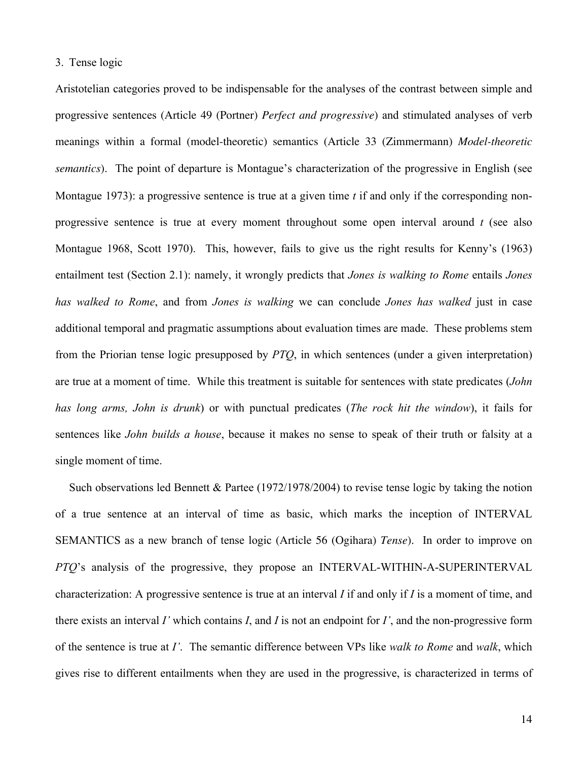#### 3. Tense logic

Aristotelian categories proved to be indispensable for the analyses of the contrast between simple and progressive sentences (Article 49 (Portner) *Perfect and progressive*) and stimulated analyses of verb meanings within a formal (model-theoretic) semantics (Article 33 (Zimmermann) *Model-theoretic semantics*). The point of departure is Montague's characterization of the progressive in English (see Montague 1973): a progressive sentence is true at a given time *t* if and only if the corresponding nonprogressive sentence is true at every moment throughout some open interval around *t* (see also Montague 1968, Scott 1970). This, however, fails to give us the right results for Kenny's (1963) entailment test (Section 2.1): namely, it wrongly predicts that *Jones is walking to Rome* entails *Jones has walked to Rome*, and from *Jones is walking* we can conclude *Jones has walked* just in case additional temporal and pragmatic assumptions about evaluation times are made. These problems stem from the Priorian tense logic presupposed by *PTQ*, in which sentences (under a given interpretation) are true at a moment of time. While this treatment is suitable for sentences with state predicates (*John has long arms, John is drunk*) or with punctual predicates (*The rock hit the window*), it fails for sentences like *John builds a house*, because it makes no sense to speak of their truth or falsity at a single moment of time.

Such observations led Bennett & Partee (1972/1978/2004) to revise tense logic by taking the notion of a true sentence at an interval of time as basic, which marks the inception of INTERVAL SEMANTICS as a new branch of tense logic (Article 56 (Ogihara) *Tense*). In order to improve on *PTQ*'s analysis of the progressive, they propose an INTERVAL-WITHIN-A-SUPERINTERVAL characterization: A progressive sentence is true at an interval *I* if and only if *I* is a moment of time, and there exists an interval *I'* which contains *I*, and *I* is not an endpoint for *I'*, and the non-progressive form of the sentence is true at *I'*. The semantic difference between VPs like *walk to Rome* and *walk*, which gives rise to different entailments when they are used in the progressive, is characterized in terms of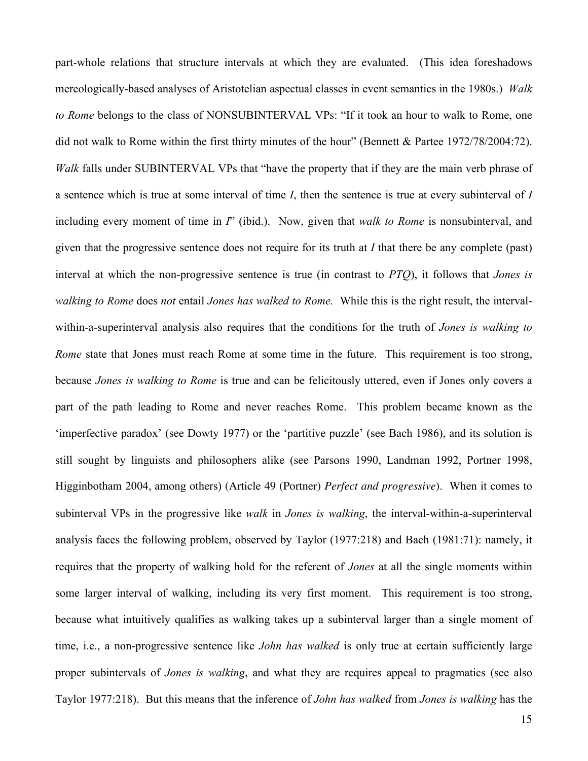part-whole relations that structure intervals at which they are evaluated. (This idea foreshadows mereologically-based analyses of Aristotelian aspectual classes in event semantics in the 1980s.) *Walk to Rome* belongs to the class of NONSUBINTERVAL VPs: "If it took an hour to walk to Rome, one did not walk to Rome within the first thirty minutes of the hour" (Bennett & Partee 1972/78/2004:72). *Walk* falls under SUBINTERVAL VPs that "have the property that if they are the main verb phrase of a sentence which is true at some interval of time *I*, then the sentence is true at every subinterval of *I* including every moment of time in *I*" (ibid.). Now, given that *walk to Rome* is nonsubinterval, and given that the progressive sentence does not require for its truth at *I* that there be any complete (past) interval at which the non-progressive sentence is true (in contrast to *PTQ*), it follows that *Jones is walking to Rome* does *not* entail *Jones has walked to Rome.* While this is the right result, the intervalwithin-a-superinterval analysis also requires that the conditions for the truth of *Jones is walking to Rome* state that Jones must reach Rome at some time in the future. This requirement is too strong, because *Jones is walking to Rome* is true and can be felicitously uttered, even if Jones only covers a part of the path leading to Rome and never reaches Rome. This problem became known as the 'imperfective paradox' (see Dowty 1977) or the 'partitive puzzle' (see Bach 1986), and its solution is still sought by linguists and philosophers alike (see Parsons 1990, Landman 1992, Portner 1998, Higginbotham 2004, among others) (Article 49 (Portner) *Perfect and progressive*). When it comes to subinterval VPs in the progressive like *walk* in *Jones is walking*, the interval-within-a-superinterval analysis faces the following problem, observed by Taylor (1977:218) and Bach (1981:71): namely, it requires that the property of walking hold for the referent of *Jones* at all the single moments within some larger interval of walking, including its very first moment. This requirement is too strong, because what intuitively qualifies as walking takes up a subinterval larger than a single moment of time, i.e., a non-progressive sentence like *John has walked* is only true at certain sufficiently large proper subintervals of *Jones is walking*, and what they are requires appeal to pragmatics (see also Taylor 1977:218). But this means that the inference of *John has walked* from *Jones is walking* has the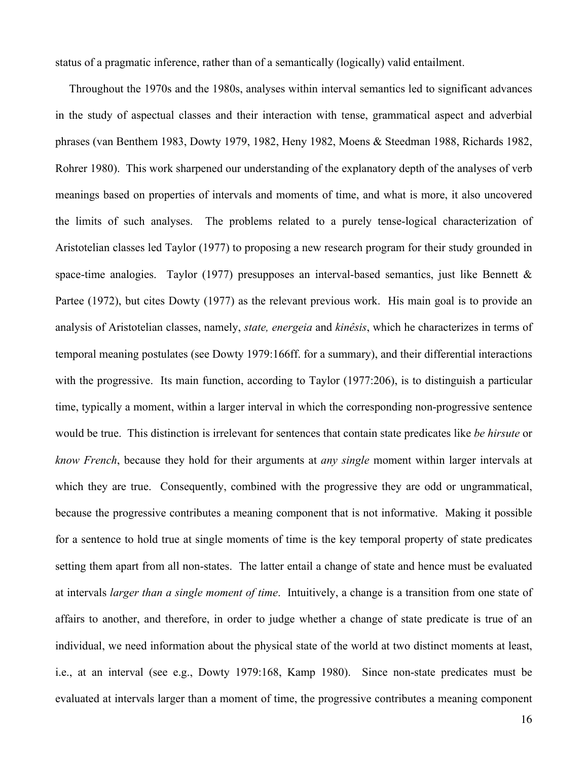status of a pragmatic inference, rather than of a semantically (logically) valid entailment.

Throughout the 1970s and the 1980s, analyses within interval semantics led to significant advances in the study of aspectual classes and their interaction with tense, grammatical aspect and adverbial phrases (van Benthem 1983, Dowty 1979, 1982, Heny 1982, Moens & Steedman 1988, Richards 1982, Rohrer 1980). This work sharpened our understanding of the explanatory depth of the analyses of verb meanings based on properties of intervals and moments of time, and what is more, it also uncovered the limits of such analyses. The problems related to a purely tense-logical characterization of Aristotelian classes led Taylor (1977) to proposing a new research program for their study grounded in space-time analogies. Taylor (1977) presupposes an interval-based semantics, just like Bennett & Partee (1972), but cites Dowty (1977) as the relevant previous work. His main goal is to provide an analysis of Aristotelian classes, namely, *state, energeia* and *kinêsis*, which he characterizes in terms of temporal meaning postulates (see Dowty 1979:166ff. for a summary), and their differential interactions with the progressive. Its main function, according to Taylor (1977:206), is to distinguish a particular time, typically a moment, within a larger interval in which the corresponding non-progressive sentence would be true. This distinction is irrelevant for sentences that contain state predicates like *be hirsute* or *know French*, because they hold for their arguments at *any single* moment within larger intervals at which they are true. Consequently, combined with the progressive they are odd or ungrammatical, because the progressive contributes a meaning component that is not informative. Making it possible for a sentence to hold true at single moments of time is the key temporal property of state predicates setting them apart from all non-states. The latter entail a change of state and hence must be evaluated at intervals *larger than a single moment of time*. Intuitively, a change is a transition from one state of affairs to another, and therefore, in order to judge whether a change of state predicate is true of an individual, we need information about the physical state of the world at two distinct moments at least, i.e., at an interval (see e.g., Dowty 1979:168, Kamp 1980). Since non-state predicates must be evaluated at intervals larger than a moment of time, the progressive contributes a meaning component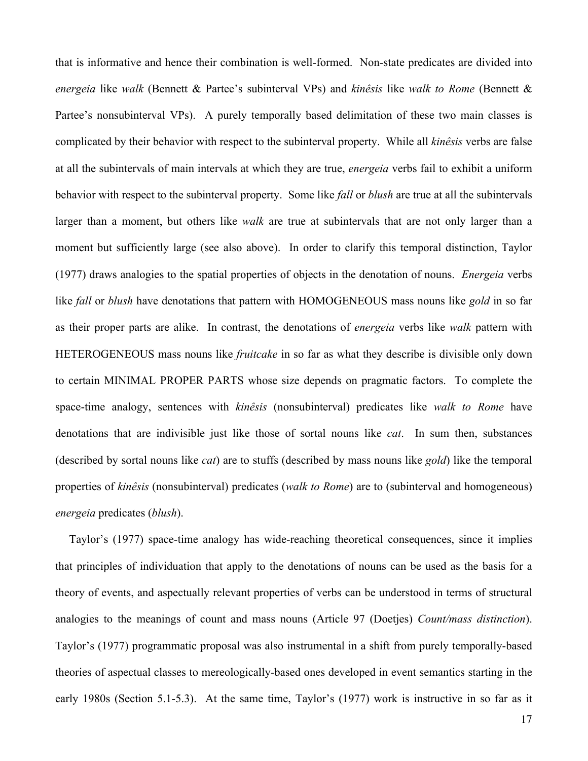that is informative and hence their combination is well-formed. Non-state predicates are divided into *energeia* like *walk* (Bennett & Partee's subinterval VPs) and *kinêsis* like *walk to Rome* (Bennett & Partee's nonsubinterval VPs). A purely temporally based delimitation of these two main classes is complicated by their behavior with respect to the subinterval property. While all *kinêsis* verbs are false at all the subintervals of main intervals at which they are true, *energeia* verbs fail to exhibit a uniform behavior with respect to the subinterval property. Some like *fall* or *blush* are true at all the subintervals larger than a moment, but others like *walk* are true at subintervals that are not only larger than a moment but sufficiently large (see also above). In order to clarify this temporal distinction, Taylor (1977) draws analogies to the spatial properties of objects in the denotation of nouns. *Energeia* verbs like *fall* or *blush* have denotations that pattern with HOMOGENEOUS mass nouns like *gold* in so far as their proper parts are alike. In contrast, the denotations of *energeia* verbs like *walk* pattern with HETEROGENEOUS mass nouns like *fruitcake* in so far as what they describe is divisible only down to certain MINIMAL PROPER PARTS whose size depends on pragmatic factors. To complete the space-time analogy, sentences with *kinêsis* (nonsubinterval) predicates like *walk to Rome* have denotations that are indivisible just like those of sortal nouns like *cat*. In sum then, substances (described by sortal nouns like *cat*) are to stuffs (described by mass nouns like *gold*) like the temporal properties of *kinêsis* (nonsubinterval) predicates (*walk to Rome*) are to (subinterval and homogeneous) *energeia* predicates (*blush*).

Taylor's (1977) space-time analogy has wide-reaching theoretical consequences, since it implies that principles of individuation that apply to the denotations of nouns can be used as the basis for a theory of events, and aspectually relevant properties of verbs can be understood in terms of structural analogies to the meanings of count and mass nouns (Article 97 (Doetjes) *Count/mass distinction*). Taylor's (1977) programmatic proposal was also instrumental in a shift from purely temporally-based theories of aspectual classes to mereologically-based ones developed in event semantics starting in the early 1980s (Section 5.1-5.3). At the same time, Taylor's (1977) work is instructive in so far as it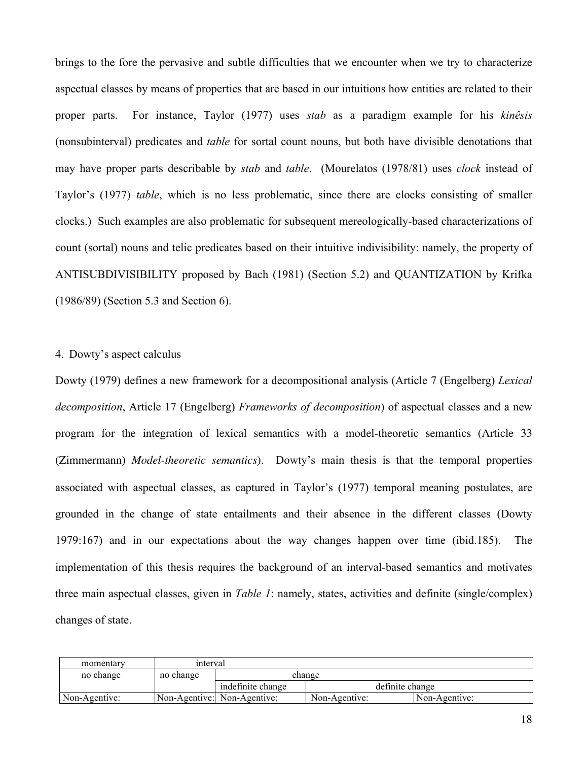brings to the fore the pervasive and subtle difficulties that we encounter when we try to characterize aspectual classes by means of properties that are based in our intuitions how entities are related to their proper parts. For instance, Taylor (1977) uses *stab* as a paradigm example for his *kinêsis* (nonsubinterval) predicates and *table* for sortal count nouns, but both have divisible denotations that may have proper parts describable by *stab* and *table*. (Mourelatos (1978/81) uses *clock* instead of Taylor's (1977) *table*, which is no less problematic, since there are clocks consisting of smaller clocks.) Such examples are also problematic for subsequent mereologically-based characterizations of count (sortal) nouns and telic predicates based on their intuitive indivisibility: namely, the property of ANTISUBDIVISIBILITY proposed by Bach (1981) (Section 5.2) and QUANTIZATION by Krifka (1986/89) (Section 5.3 and Section 6).

### 4. Dowty's aspect calculus

Dowty (1979) defines a new framework for a decompositional analysis (Article 7 (Engelberg) *Lexical decomposition*, Article 17 (Engelberg) *Frameworks of decomposition*) of aspectual classes and a new program for the integration of lexical semantics with a model-theoretic semantics (Article 33 (Zimmermann) *Model-theoretic semantics*). Dowty's main thesis is that the temporal properties associated with aspectual classes, as captured in Taylor's (1977) temporal meaning postulates, are grounded in the change of state entailments and their absence in the different classes (Dowty 1979:167) and in our expectations about the way changes happen over time (ibid.185). The implementation of this thesis requires the background of an interval-based semantics and motivates three main aspectual classes, given in *Table 1*: namely, states, activities and definite (single/complex) changes of state.

| momentary     |           | interval                    |                 |               |
|---------------|-----------|-----------------------------|-----------------|---------------|
| no change     | no change | change                      |                 |               |
|               |           | indefinite change           | definite change |               |
| Non-Agentive: |           | Non-Agentive: Non-Agentive: | Non-Agentive:   | Non-Agentive: |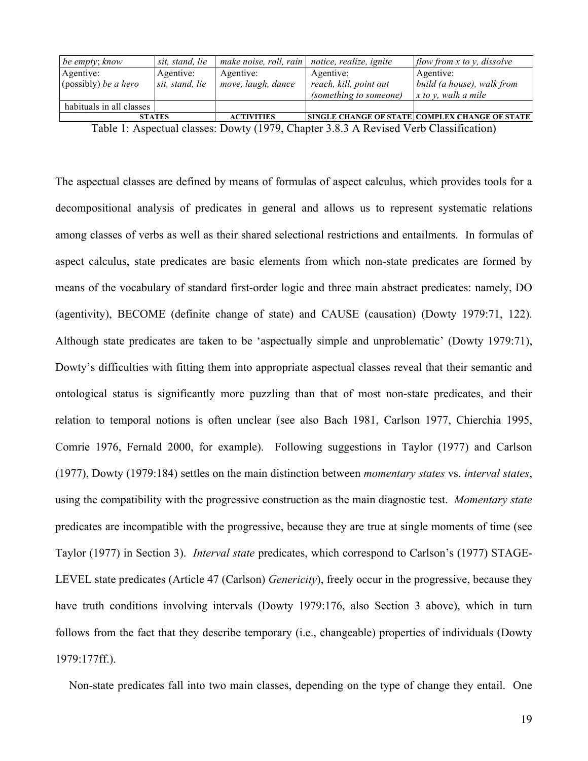| be empty; know             | sit, stand, lie |                    | make noise, roll, rain   notice, realize, ignite | flow from $x$ to $y$ , dissolve                       |
|----------------------------|-----------------|--------------------|--------------------------------------------------|-------------------------------------------------------|
| Agentive:                  | Agentive:       | Agentive:          | Agentive:                                        | Agentive:                                             |
| (possibly) be a hero       | sit, stand, lie | move, laugh, dance | reach, kill, point out                           | build (a house), walk from                            |
|                            |                 |                    | (something to someone)                           | $x$ to y, walk a mile                                 |
| habituals in all classes I |                 |                    |                                                  |                                                       |
| <b>STATES</b>              |                 | <b>ACTIVITIES</b>  |                                                  | <b>SINGLE CHANGE OF STATE COMPLEX CHANGE OF STATE</b> |

Table 1: Aspectual classes: Dowty (1979, Chapter 3.8.3 A Revised Verb Classification)

The aspectual classes are defined by means of formulas of aspect calculus, which provides tools for a decompositional analysis of predicates in general and allows us to represent systematic relations among classes of verbs as well as their shared selectional restrictions and entailments. In formulas of aspect calculus, state predicates are basic elements from which non-state predicates are formed by means of the vocabulary of standard first-order logic and three main abstract predicates: namely, DO (agentivity), BECOME (definite change of state) and CAUSE (causation) (Dowty 1979:71, 122). Although state predicates are taken to be 'aspectually simple and unproblematic' (Dowty 1979:71), Dowty's difficulties with fitting them into appropriate aspectual classes reveal that their semantic and ontological status is significantly more puzzling than that of most non-state predicates, and their relation to temporal notions is often unclear (see also Bach 1981, Carlson 1977, Chierchia 1995, Comrie 1976, Fernald 2000, for example). Following suggestions in Taylor (1977) and Carlson (1977), Dowty (1979:184) settles on the main distinction between *momentary states* vs. *interval states*, using the compatibility with the progressive construction as the main diagnostic test. *Momentary state* predicates are incompatible with the progressive, because they are true at single moments of time (see Taylor (1977) in Section 3). *Interval state* predicates, which correspond to Carlson's (1977) STAGE-LEVEL state predicates (Article 47 (Carlson) *Genericity*), freely occur in the progressive, because they have truth conditions involving intervals (Dowty 1979:176, also Section 3 above), which in turn follows from the fact that they describe temporary (i.e., changeable) properties of individuals (Dowty 1979:177ff.).

Non-state predicates fall into two main classes, depending on the type of change they entail. One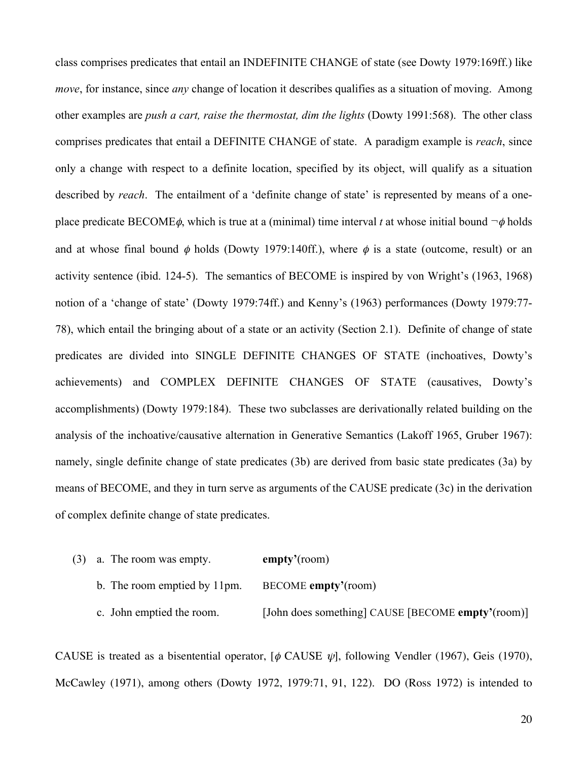class comprises predicates that entail an INDEFINITE CHANGE of state (see Dowty 1979:169ff.) like *move*, for instance, since *any* change of location it describes qualifies as a situation of moving. Among other examples are *push a cart, raise the thermostat, dim the lights* (Dowty 1991:568). The other class comprises predicates that entail a DEFINITE CHANGE of state. A paradigm example is *reach*, since only a change with respect to a definite location, specified by its object, will qualify as a situation described by *reach*. The entailment of a 'definite change of state' is represented by means of a oneplace predicate BECOME $\phi$ , which is true at a (minimal) time interval *t* at whose initial bound  $\neg \phi$  holds and at whose final bound  $\phi$  holds (Dowty 1979:140ff.), where  $\phi$  is a state (outcome, result) or an activity sentence (ibid. 124-5). The semantics of BECOME is inspired by von Wright's (1963, 1968) notion of a 'change of state' (Dowty 1979:74ff.) and Kenny's (1963) performances (Dowty 1979:77- 78), which entail the bringing about of a state or an activity (Section 2.1). Definite of change of state predicates are divided into SINGLE DEFINITE CHANGES OF STATE (inchoatives, Dowty's achievements) and COMPLEX DEFINITE CHANGES OF STATE (causatives, Dowty's accomplishments) (Dowty 1979:184). These two subclasses are derivationally related building on the analysis of the inchoative/causative alternation in Generative Semantics (Lakoff 1965, Gruber 1967): namely, single definite change of state predicates (3b) are derived from basic state predicates (3a) by means of BECOME, and they in turn serve as arguments of the CAUSE predicate (3c) in the derivation of complex definite change of state predicates.

- (3) a. The room was empty. **empty'**(room)
	- b. The room emptied by 11pm. BECOME **empty'**(room)
	- c. John emptied the room. [John does something] CAUSE [BECOME **empty'**(room)]

CAUSE is treated as a bisentential operator,  $[\phi \text{ CAUSE } \psi]$ , following Vendler (1967), Geis (1970), McCawley (1971), among others (Dowty 1972, 1979:71, 91, 122). DO (Ross 1972) is intended to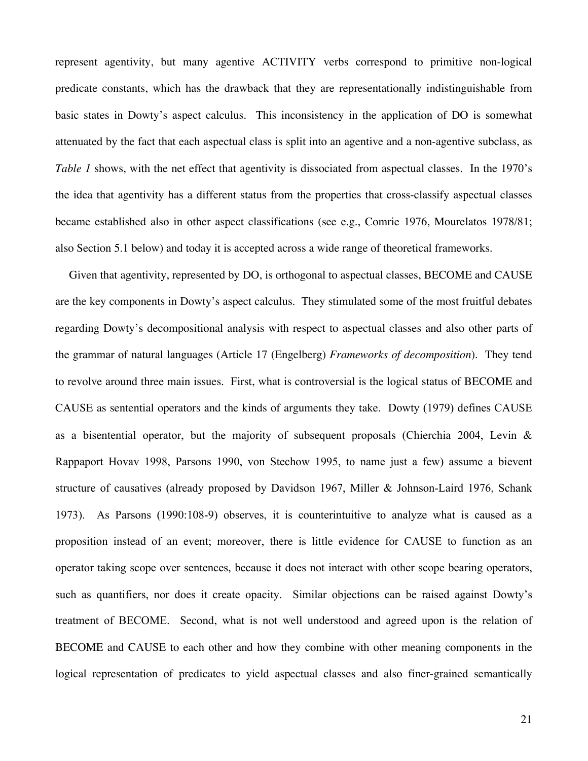represent agentivity, but many agentive ACTIVITY verbs correspond to primitive non-logical predicate constants, which has the drawback that they are representationally indistinguishable from basic states in Dowty's aspect calculus. This inconsistency in the application of DO is somewhat attenuated by the fact that each aspectual class is split into an agentive and a non-agentive subclass, as *Table 1* shows, with the net effect that agentivity is dissociated from aspectual classes. In the 1970's the idea that agentivity has a different status from the properties that cross-classify aspectual classes became established also in other aspect classifications (see e.g., Comrie 1976, Mourelatos 1978/81; also Section 5.1 below) and today it is accepted across a wide range of theoretical frameworks.

Given that agentivity, represented by DO, is orthogonal to aspectual classes, BECOME and CAUSE are the key components in Dowty's aspect calculus. They stimulated some of the most fruitful debates regarding Dowty's decompositional analysis with respect to aspectual classes and also other parts of the grammar of natural languages (Article 17 (Engelberg) *Frameworks of decomposition*). They tend to revolve around three main issues. First, what is controversial is the logical status of BECOME and CAUSE as sentential operators and the kinds of arguments they take. Dowty (1979) defines CAUSE as a bisentential operator, but the majority of subsequent proposals (Chierchia 2004, Levin  $\&$ Rappaport Hovav 1998, Parsons 1990, von Stechow 1995, to name just a few) assume a bievent structure of causatives (already proposed by Davidson 1967, Miller & Johnson-Laird 1976, Schank 1973). As Parsons (1990:108-9) observes, it is counterintuitive to analyze what is caused as a proposition instead of an event; moreover, there is little evidence for CAUSE to function as an operator taking scope over sentences, because it does not interact with other scope bearing operators, such as quantifiers, nor does it create opacity. Similar objections can be raised against Dowty's treatment of BECOME. Second, what is not well understood and agreed upon is the relation of BECOME and CAUSE to each other and how they combine with other meaning components in the logical representation of predicates to yield aspectual classes and also finer-grained semantically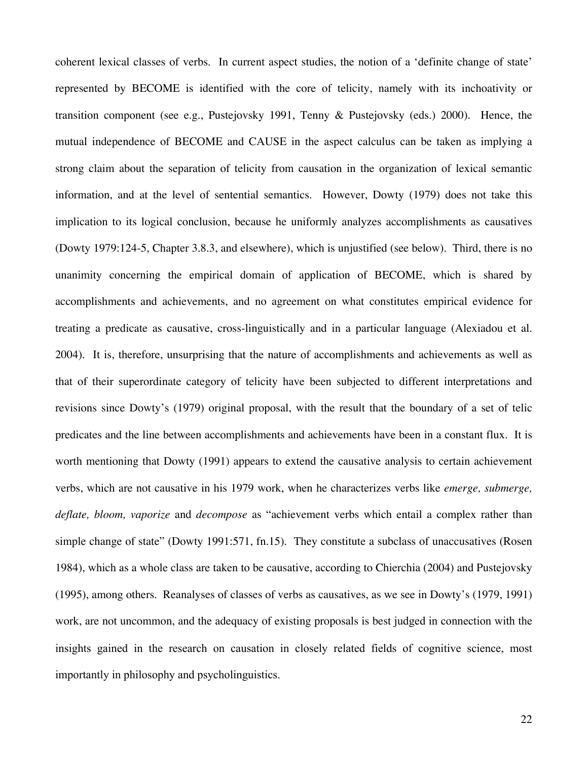coherent lexical classes of verbs. In current aspect studies, the notion of a 'definite change of state' represented by BECOME is identified with the core of telicity, namely with its inchoativity or transition component (see e.g., Pustejovsky 1991, Tenny & Pustejovsky (eds.) 2000). Hence, the mutual independence of BECOME and CAUSE in the aspect calculus can be taken as implying a strong claim about the separation of telicity from causation in the organization of lexical semantic information, and at the level of sentential semantics. However, Dowty (1979) does not take this implication to its logical conclusion, because he uniformly analyzes accomplishments as causatives (Dowty 1979:124-5, Chapter 3.8.3, and elsewhere), which is unjustified (see below). Third, there is no unanimity concerning the empirical domain of application of BECOME, which is shared by accomplishments and achievements, and no agreement on what constitutes empirical evidence for treating a predicate as causative, cross-linguistically and in a particular language (Alexiadou et al. 2004). It is, therefore, unsurprising that the nature of accomplishments and achievements as well as that of their superordinate category of telicity have been subjected to different interpretations and revisions since Dowty's (1979) original proposal, with the result that the boundary of a set of telic predicates and the line between accomplishments and achievements have been in a constant flux. It is worth mentioning that Dowty (1991) appears to extend the causative analysis to certain achievement verbs, which are not causative in his 1979 work, when he characterizes verbs like *emerge, submerge, deflate, bloom, vaporize* and *decompose* as "achievement verbs which entail a complex rather than simple change of state" (Dowty 1991:571, fn.15). They constitute a subclass of unaccusatives (Rosen 1984), which as a whole class are taken to be causative, according to Chierchia (2004) and Pustejovsky (1995), among others. Reanalyses of classes of verbs as causatives, as we see in Dowty's (1979, 1991) work, are not uncommon, and the adequacy of existing proposals is best judged in connection with the insights gained in the research on causation in closely related fields of cognitive science, most importantly in philosophy and psycholinguistics.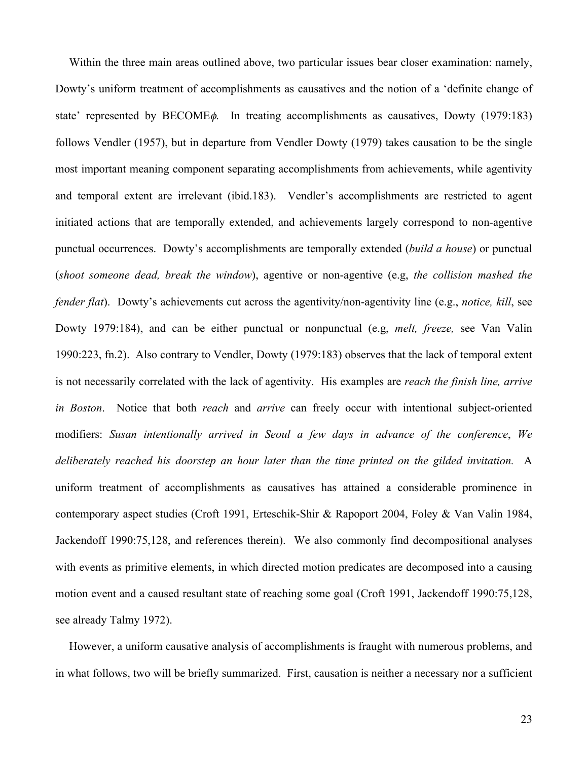Within the three main areas outlined above, two particular issues bear closer examination: namely, Dowty's uniform treatment of accomplishments as causatives and the notion of a 'definite change of state' represented by  $BECOME\phi$ . In treating accomplishments as causatives, Dowty (1979:183) follows Vendler (1957), but in departure from Vendler Dowty (1979) takes causation to be the single most important meaning component separating accomplishments from achievements, while agentivity and temporal extent are irrelevant (ibid.183). Vendler's accomplishments are restricted to agent initiated actions that are temporally extended, and achievements largely correspond to non-agentive punctual occurrences. Dowty's accomplishments are temporally extended (*build a house*) or punctual (*shoot someone dead, break the window*), agentive or non-agentive (e.g, *the collision mashed the fender flat*). Dowty's achievements cut across the agentivity/non-agentivity line (e.g., *notice, kill*, see Dowty 1979:184), and can be either punctual or nonpunctual (e.g, *melt, freeze,* see Van Valin 1990:223, fn.2). Also contrary to Vendler, Dowty (1979:183) observes that the lack of temporal extent is not necessarily correlated with the lack of agentivity. His examples are *reach the finish line, arrive in Boston*. Notice that both *reach* and *arrive* can freely occur with intentional subject-oriented modifiers: *Susan intentionally arrived in Seoul a few days in advance of the conference*, *We deliberately reached his doorstep an hour later than the time printed on the gilded invitation.* A uniform treatment of accomplishments as causatives has attained a considerable prominence in contemporary aspect studies (Croft 1991, Erteschik-Shir & Rapoport 2004, Foley & Van Valin 1984, Jackendoff 1990:75,128, and references therein). We also commonly find decompositional analyses with events as primitive elements, in which directed motion predicates are decomposed into a causing motion event and a caused resultant state of reaching some goal (Croft 1991, Jackendoff 1990:75,128, see already Talmy 1972).

However, a uniform causative analysis of accomplishments is fraught with numerous problems, and in what follows, two will be briefly summarized. First, causation is neither a necessary nor a sufficient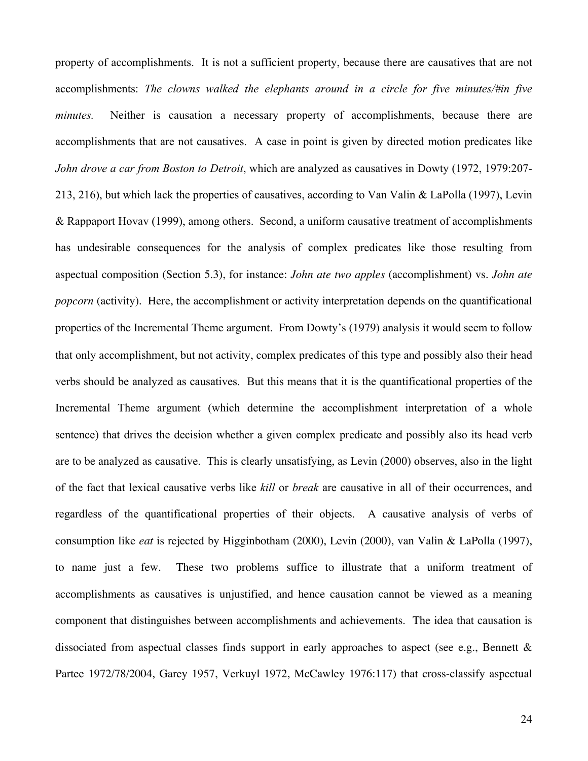property of accomplishments. It is not a sufficient property, because there are causatives that are not accomplishments: *The clowns walked the elephants around in a circle for five minutes/#in five minutes.* Neither is causation a necessary property of accomplishments, because there are accomplishments that are not causatives. A case in point is given by directed motion predicates like *John drove a car from Boston to Detroit*, which are analyzed as causatives in Dowty (1972, 1979:207- 213, 216), but which lack the properties of causatives, according to Van Valin & LaPolla (1997), Levin & Rappaport Hovav (1999), among others. Second, a uniform causative treatment of accomplishments has undesirable consequences for the analysis of complex predicates like those resulting from aspectual composition (Section 5.3), for instance: *John ate two apples* (accomplishment) vs. *John ate popcorn* (activity). Here, the accomplishment or activity interpretation depends on the quantificational properties of the Incremental Theme argument. From Dowty's (1979) analysis it would seem to follow that only accomplishment, but not activity, complex predicates of this type and possibly also their head verbs should be analyzed as causatives. But this means that it is the quantificational properties of the Incremental Theme argument (which determine the accomplishment interpretation of a whole sentence) that drives the decision whether a given complex predicate and possibly also its head verb are to be analyzed as causative. This is clearly unsatisfying, as Levin (2000) observes, also in the light of the fact that lexical causative verbs like *kill* or *break* are causative in all of their occurrences, and regardless of the quantificational properties of their objects. A causative analysis of verbs of consumption like *eat* is rejected by Higginbotham (2000), Levin (2000), van Valin & LaPolla (1997), to name just a few. These two problems suffice to illustrate that a uniform treatment of accomplishments as causatives is unjustified, and hence causation cannot be viewed as a meaning component that distinguishes between accomplishments and achievements. The idea that causation is dissociated from aspectual classes finds support in early approaches to aspect (see e.g., Bennett  $\&$ Partee 1972/78/2004, Garey 1957, Verkuyl 1972, McCawley 1976:117) that cross-classify aspectual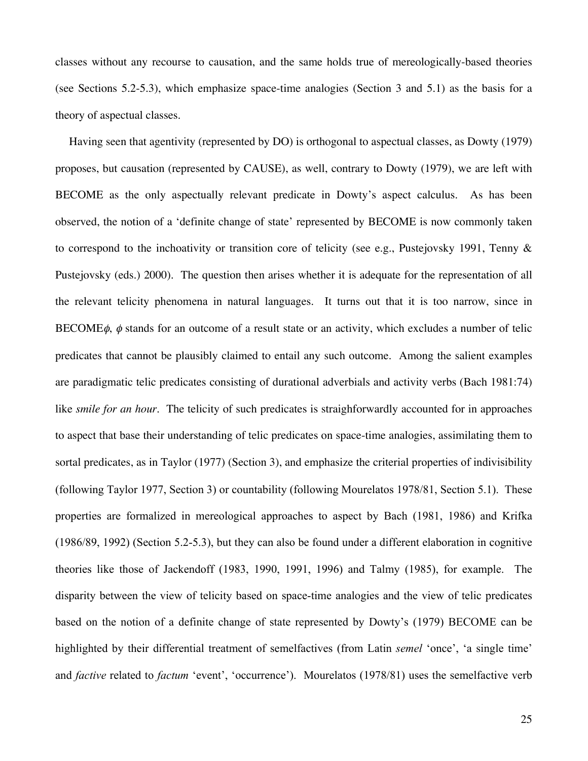classes without any recourse to causation, and the same holds true of mereologically-based theories (see Sections 5.2-5.3), which emphasize space-time analogies (Section 3 and 5.1) as the basis for a theory of aspectual classes.

Having seen that agentivity (represented by DO) is orthogonal to aspectual classes, as Dowty (1979) proposes, but causation (represented by CAUSE), as well, contrary to Dowty (1979), we are left with BECOME as the only aspectually relevant predicate in Dowty's aspect calculus. As has been observed, the notion of a 'definite change of state' represented by BECOME is now commonly taken to correspond to the inchoativity or transition core of telicity (see e.g., Pustejovsky 1991, Tenny & Pustejovsky (eds.) 2000). The question then arises whether it is adequate for the representation of all the relevant telicity phenomena in natural languages. It turns out that it is too narrow, since in BECOME $\phi$ ,  $\phi$  stands for an outcome of a result state or an activity, which excludes a number of telic predicates that cannot be plausibly claimed to entail any such outcome. Among the salient examples are paradigmatic telic predicates consisting of durational adverbials and activity verbs (Bach 1981:74) like *smile for an hour*. The telicity of such predicates is straighforwardly accounted for in approaches to aspect that base their understanding of telic predicates on space-time analogies, assimilating them to sortal predicates, as in Taylor (1977) (Section 3), and emphasize the criterial properties of indivisibility (following Taylor 1977, Section 3) or countability (following Mourelatos 1978/81, Section 5.1). These properties are formalized in mereological approaches to aspect by Bach (1981, 1986) and Krifka (1986/89, 1992) (Section 5.2-5.3), but they can also be found under a different elaboration in cognitive theories like those of Jackendoff (1983, 1990, 1991, 1996) and Talmy (1985), for example. The disparity between the view of telicity based on space-time analogies and the view of telic predicates based on the notion of a definite change of state represented by Dowty's (1979) BECOME can be highlighted by their differential treatment of semelfactives (from Latin *semel* 'once', 'a single time' and *factive* related to *factum* 'event', 'occurrence'). Mourelatos (1978/81) uses the semelfactive verb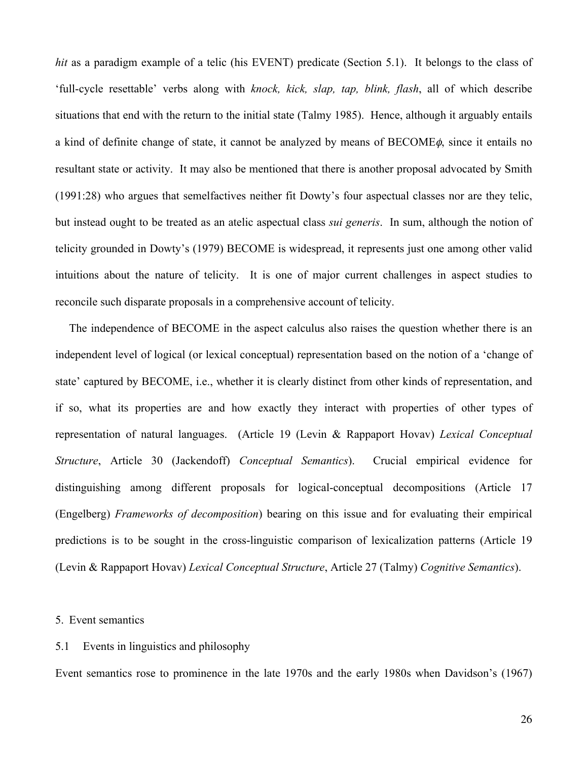*hit* as a paradigm example of a telic (his EVENT) predicate (Section 5.1). It belongs to the class of 'full-cycle resettable' verbs along with *knock, kick, slap, tap, blink, flash*, all of which describe situations that end with the return to the initial state (Talmy 1985). Hence, although it arguably entails a kind of definite change of state, it cannot be analyzed by means of  $BECOME\phi$ , since it entails no resultant state or activity. It may also be mentioned that there is another proposal advocated by Smith (1991:28) who argues that semelfactives neither fit Dowty's four aspectual classes nor are they telic, but instead ought to be treated as an atelic aspectual class *sui generis*. In sum, although the notion of telicity grounded in Dowty's (1979) BECOME is widespread, it represents just one among other valid intuitions about the nature of telicity. It is one of major current challenges in aspect studies to reconcile such disparate proposals in a comprehensive account of telicity.

The independence of BECOME in the aspect calculus also raises the question whether there is an independent level of logical (or lexical conceptual) representation based on the notion of a 'change of state' captured by BECOME, i.e., whether it is clearly distinct from other kinds of representation, and if so, what its properties are and how exactly they interact with properties of other types of representation of natural languages. (Article 19 (Levin & Rappaport Hovav) *Lexical Conceptual Structure*, Article 30 (Jackendoff) *Conceptual Semantics*). Crucial empirical evidence for distinguishing among different proposals for logical-conceptual decompositions (Article 17 (Engelberg) *Frameworks of decomposition*) bearing on this issue and for evaluating their empirical predictions is to be sought in the cross-linguistic comparison of lexicalization patterns (Article 19 (Levin & Rappaport Hovav) *Lexical Conceptual Structure*, Article 27 (Talmy) *Cognitive Semantics*).

## 5. Event semantics

# 5.1 Events in linguistics and philosophy

Event semantics rose to prominence in the late 1970s and the early 1980s when Davidson's (1967)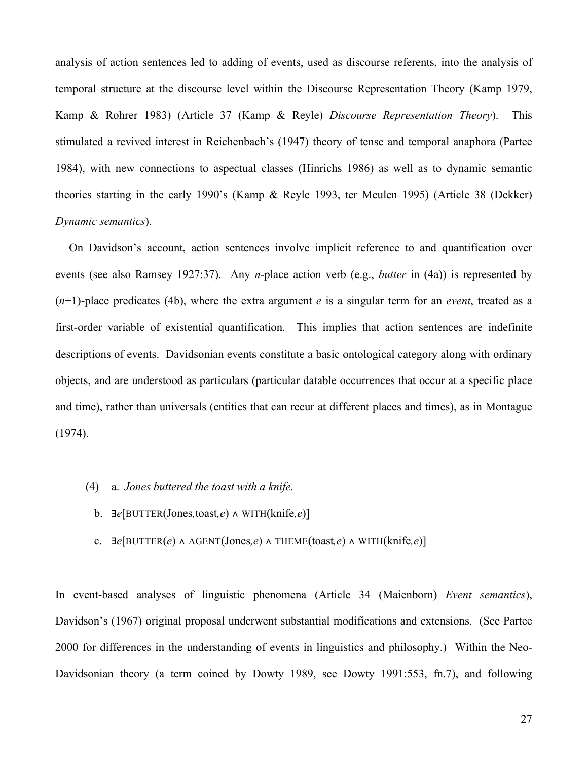analysis of action sentences led to adding of events, used as discourse referents, into the analysis of temporal structure at the discourse level within the Discourse Representation Theory (Kamp 1979, Kamp & Rohrer 1983) (Article 37 (Kamp & Reyle) *Discourse Representation Theory*). This stimulated a revived interest in Reichenbach's (1947) theory of tense and temporal anaphora (Partee 1984), with new connections to aspectual classes (Hinrichs 1986) as well as to dynamic semantic theories starting in the early 1990's (Kamp & Reyle 1993, ter Meulen 1995) (Article 38 (Dekker) *Dynamic semantics*).

On Davidson's account, action sentences involve implicit reference to and quantification over events (see also Ramsey 1927:37). Any *n*-place action verb (e.g., *butter* in (4a)) is represented by (*n*+1)-place predicates (4b), where the extra argument *e* is a singular term for an *event*, treated as a first-order variable of existential quantification. This implies that action sentences are indefinite descriptions of events. Davidsonian events constitute a basic ontological category along with ordinary objects, and are understood as particulars (particular datable occurrences that occur at a specific place and time), rather than universals (entities that can recur at different places and times), as in Montague (1974).

- (4) a. *Jones buttered the toast with a knife.*
	- b. ∃*e*[BUTTER(Jones*,*toast*,e*) ∧ WITH(knife*,e*)]
	- c. ∃*e*[BUTTER(*e*) ∧ AGENT(Jones*,e*) ∧ THEME(toast*,e*) ∧ WITH(knife*,e*)]

In event-based analyses of linguistic phenomena (Article 34 (Maienborn) *Event semantics*), Davidson's (1967) original proposal underwent substantial modifications and extensions. (See Partee 2000 for differences in the understanding of events in linguistics and philosophy.) Within the Neo-Davidsonian theory (a term coined by Dowty 1989, see Dowty 1991:553, fn.7), and following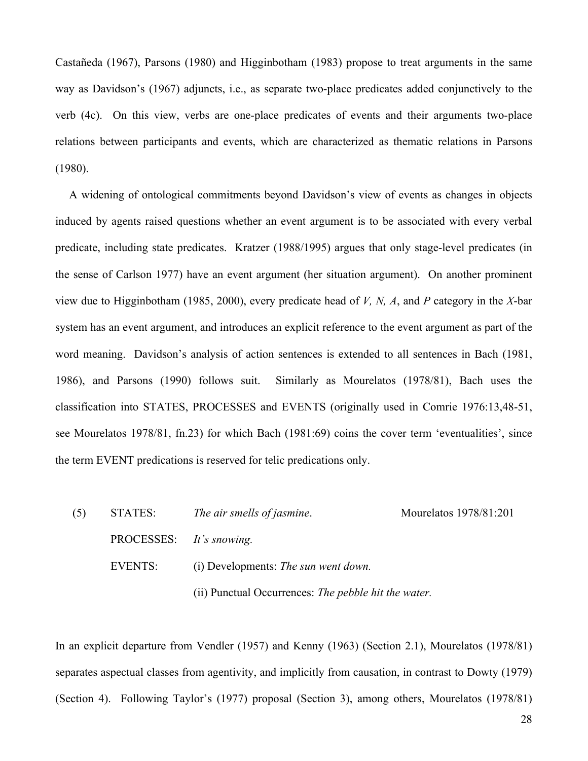Castañeda (1967), Parsons (1980) and Higginbotham (1983) propose to treat arguments in the same way as Davidson's (1967) adjuncts, i.e., as separate two-place predicates added conjunctively to the verb (4c). On this view, verbs are one-place predicates of events and their arguments two-place relations between participants and events, which are characterized as thematic relations in Parsons (1980).

A widening of ontological commitments beyond Davidson's view of events as changes in objects induced by agents raised questions whether an event argument is to be associated with every verbal predicate, including state predicates. Kratzer (1988/1995) argues that only stage-level predicates (in the sense of Carlson 1977) have an event argument (her situation argument). On another prominent view due to Higginbotham (1985, 2000), every predicate head of *V, N, A*, and *P* category in the *X*-bar system has an event argument, and introduces an explicit reference to the event argument as part of the word meaning. Davidson's analysis of action sentences is extended to all sentences in Bach (1981, 1986), and Parsons (1990) follows suit. Similarly as Mourelatos (1978/81), Bach uses the classification into STATES, PROCESSES and EVENTS (originally used in Comrie 1976:13,48-51, see Mourelatos 1978/81, fn.23) for which Bach (1981:69) coins the cover term 'eventualities', since the term EVENT predications is reserved for telic predications only.

(5) STATES: *The air smells of jasmine*. Mourelatos 1978/81:201 PROCESSES: *It's snowing.* EVENTS: (i) Developments: *The sun went down.*  (ii) Punctual Occurrences: *The pebble hit the water.* 

In an explicit departure from Vendler (1957) and Kenny (1963) (Section 2.1), Mourelatos (1978/81) separates aspectual classes from agentivity, and implicitly from causation, in contrast to Dowty (1979) (Section 4). Following Taylor's (1977) proposal (Section 3), among others, Mourelatos (1978/81)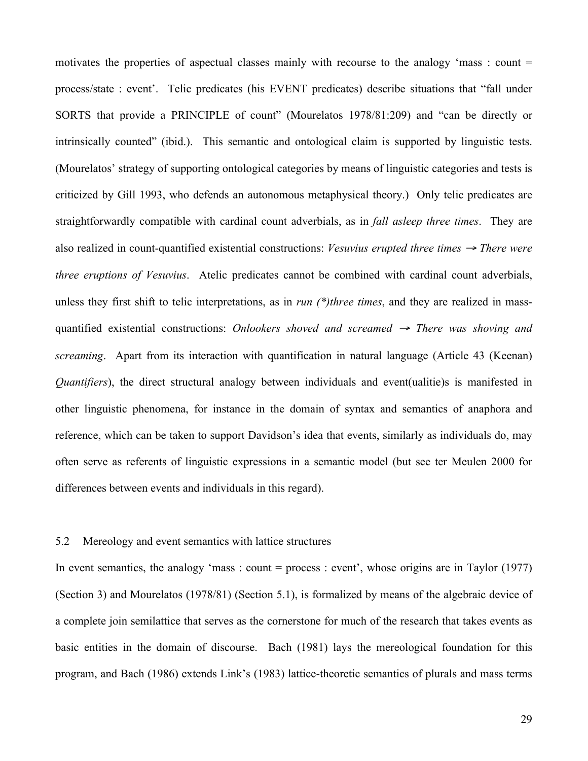motivates the properties of aspectual classes mainly with recourse to the analogy 'mass : count  $=$ process/state : event'. Telic predicates (his EVENT predicates) describe situations that "fall under SORTS that provide a PRINCIPLE of count" (Mourelatos 1978/81:209) and "can be directly or intrinsically counted" (ibid.). This semantic and ontological claim is supported by linguistic tests. (Mourelatos' strategy of supporting ontological categories by means of linguistic categories and tests is criticized by Gill 1993, who defends an autonomous metaphysical theory.) Only telic predicates are straightforwardly compatible with cardinal count adverbials, as in *fall asleep three times*. They are also realized in count-quantified existential constructions: *Vesuvius erupted three times* → *There were three eruptions of Vesuvius*. Atelic predicates cannot be combined with cardinal count adverbials, unless they first shift to telic interpretations, as in *run (\*)three times*, and they are realized in massquantified existential constructions: *Onlookers shoved and screamed* → *There was shoving and screaming*. Apart from its interaction with quantification in natural language (Article 43 (Keenan) *Quantifiers*), the direct structural analogy between individuals and event(ualitie)s is manifested in other linguistic phenomena, for instance in the domain of syntax and semantics of anaphora and reference, which can be taken to support Davidson's idea that events, similarly as individuals do, may often serve as referents of linguistic expressions in a semantic model (but see ter Meulen 2000 for differences between events and individuals in this regard).

# 5.2 Mereology and event semantics with lattice structures

In event semantics, the analogy 'mass : count = process : event', whose origins are in Taylor (1977) (Section 3) and Mourelatos (1978/81) (Section 5.1), is formalized by means of the algebraic device of a complete join semilattice that serves as the cornerstone for much of the research that takes events as basic entities in the domain of discourse. Bach (1981) lays the mereological foundation for this program, and Bach (1986) extends Link's (1983) lattice-theoretic semantics of plurals and mass terms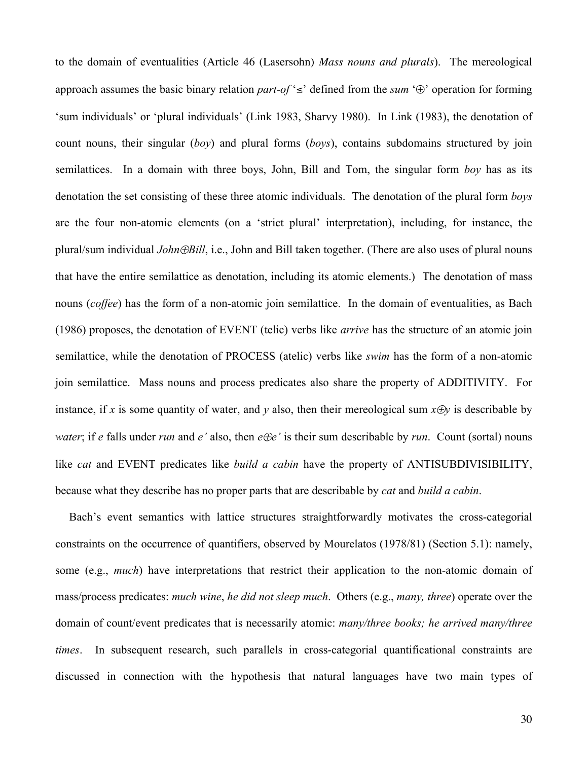to the domain of eventualities (Article 46 (Lasersohn) *Mass nouns and plurals*). The mereological approach assumes the basic binary relation *part*-*of* '≤' defined from the *sum* '⊕' operation for forming 'sum individuals' or 'plural individuals' (Link 1983, Sharvy 1980). In Link (1983), the denotation of count nouns, their singular (*boy*) and plural forms (*boys*), contains subdomains structured by join semilattices. In a domain with three boys, John, Bill and Tom, the singular form *boy* has as its denotation the set consisting of these three atomic individuals. The denotation of the plural form *boys* are the four non-atomic elements (on a 'strict plural' interpretation), including, for instance, the plural/sum individual *John*⊕*Bill*, i.e., John and Bill taken together. (There are also uses of plural nouns that have the entire semilattice as denotation, including its atomic elements.) The denotation of mass nouns (*coffee*) has the form of a non-atomic join semilattice. In the domain of eventualities, as Bach (1986) proposes, the denotation of EVENT (telic) verbs like *arrive* has the structure of an atomic join semilattice, while the denotation of PROCESS (atelic) verbs like *swim* has the form of a non-atomic join semilattice. Mass nouns and process predicates also share the property of ADDITIVITY. For instance, if *x* is some quantity of water, and *y* also, then their mereological sum  $x \oplus y$  is describable by *water*; if *e* falls under *run* and *e'* also, then *e*⊕*e'* is their sum describable by *run*. Count (sortal) nouns like *cat* and EVENT predicates like *build a cabin* have the property of ANTISUBDIVISIBILITY, because what they describe has no proper parts that are describable by *cat* and *build a cabin*.

Bach's event semantics with lattice structures straightforwardly motivates the cross-categorial constraints on the occurrence of quantifiers, observed by Mourelatos (1978/81) (Section 5.1): namely, some (e.g., *much*) have interpretations that restrict their application to the non-atomic domain of mass/process predicates: *much wine*, *he did not sleep much*. Others (e.g., *many, three*) operate over the domain of count/event predicates that is necessarily atomic: *many/three books; he arrived many/three times*. In subsequent research, such parallels in cross-categorial quantificational constraints are discussed in connection with the hypothesis that natural languages have two main types of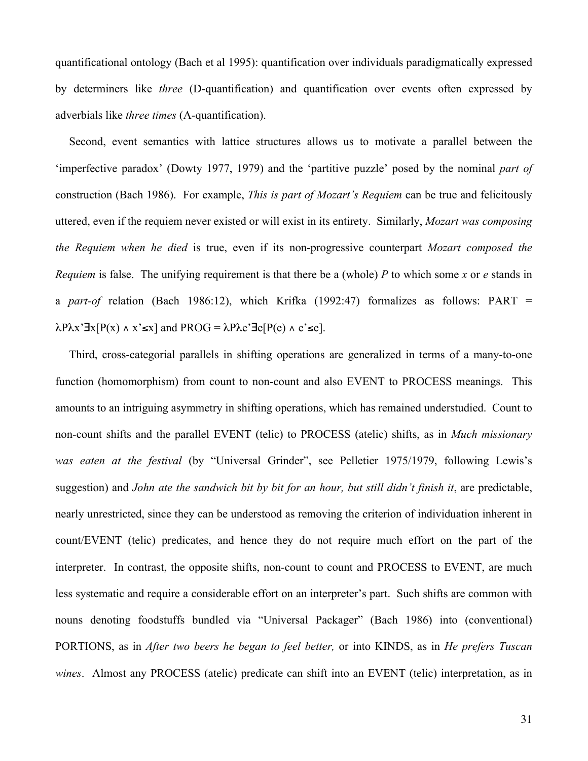quantificational ontology (Bach et al 1995): quantification over individuals paradigmatically expressed by determiners like *three* (D-quantification) and quantification over events often expressed by adverbials like *three times* (A-quantification).

Second, event semantics with lattice structures allows us to motivate a parallel between the 'imperfective paradox' (Dowty 1977, 1979) and the 'partitive puzzle' posed by the nominal *part of* construction (Bach 1986). For example, *This is part of Mozart's Requiem* can be true and felicitously uttered, even if the requiem never existed or will exist in its entirety. Similarly, *Mozart was composing the Requiem when he died* is true, even if its non-progressive counterpart *Mozart composed the Requiem* is false. The unifying requirement is that there be a (whole) *P* to which some *x* or *e* stands in a *part-of* relation (Bach 1986:12), which Krifka (1992:47) formalizes as follows: PART =  $\lambda P \lambda x' \exists x [P(x) \land x' \leq x]$  and  $PROG = \lambda P \lambda e' \exists e [P(e) \land e' \leq e]$ .

Third, cross-categorial parallels in shifting operations are generalized in terms of a many-to-one function (homomorphism) from count to non-count and also EVENT to PROCESS meanings. This amounts to an intriguing asymmetry in shifting operations, which has remained understudied. Count to non-count shifts and the parallel EVENT (telic) to PROCESS (atelic) shifts, as in *Much missionary was eaten at the festival* (by "Universal Grinder", see Pelletier 1975/1979, following Lewis's suggestion) and *John ate the sandwich bit by bit for an hour, but still didn't finish it*, are predictable, nearly unrestricted, since they can be understood as removing the criterion of individuation inherent in count/EVENT (telic) predicates, and hence they do not require much effort on the part of the interpreter. In contrast, the opposite shifts, non-count to count and PROCESS to EVENT, are much less systematic and require a considerable effort on an interpreter's part. Such shifts are common with nouns denoting foodstuffs bundled via "Universal Packager" (Bach 1986) into (conventional) PORTIONS, as in *After two beers he began to feel better,* or into KINDS, as in *He prefers Tuscan wines*. Almost any PROCESS (atelic) predicate can shift into an EVENT (telic) interpretation, as in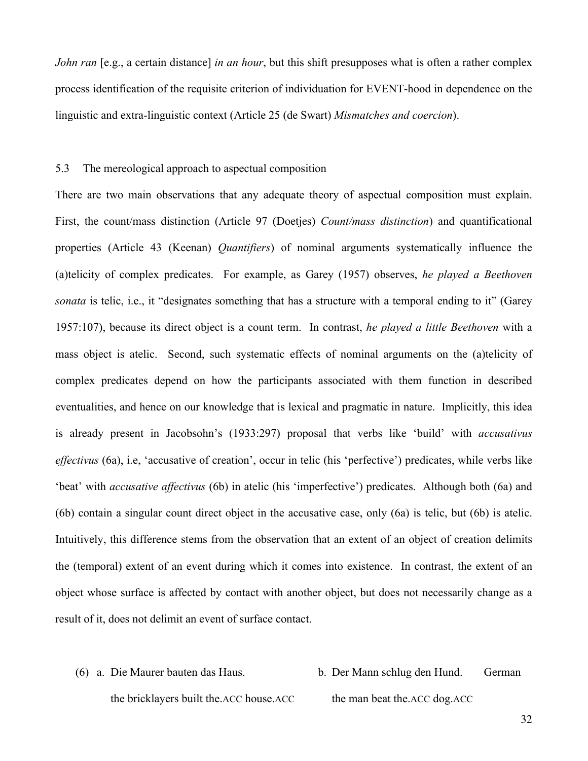*John ran* [e.g., a certain distance] *in an hour*, but this shift presupposes what is often a rather complex process identification of the requisite criterion of individuation for EVENT-hood in dependence on the linguistic and extra-linguistic context (Article 25 (de Swart) *Mismatches and coercion*).

#### 5.3 The mereological approach to aspectual composition

There are two main observations that any adequate theory of aspectual composition must explain. First, the count/mass distinction (Article 97 (Doetjes) *Count/mass distinction*) and quantificational properties (Article 43 (Keenan) *Quantifiers*) of nominal arguments systematically influence the (a)telicity of complex predicates. For example, as Garey (1957) observes, *he played a Beethoven sonata* is telic, i.e., it "designates something that has a structure with a temporal ending to it" (Garey 1957:107), because its direct object is a count term. In contrast, *he played a little Beethoven* with a mass object is atelic. Second, such systematic effects of nominal arguments on the (a)telicity of complex predicates depend on how the participants associated with them function in described eventualities, and hence on our knowledge that is lexical and pragmatic in nature. Implicitly, this idea is already present in Jacobsohn's (1933:297) proposal that verbs like 'build' with *accusativus effectivus* (6a), i.e, 'accusative of creation', occur in telic (his 'perfective') predicates, while verbs like 'beat' with *accusative affectivus* (6b) in atelic (his 'imperfective') predicates. Although both (6a) and (6b) contain a singular count direct object in the accusative case, only (6a) is telic, but (6b) is atelic. Intuitively, this difference stems from the observation that an extent of an object of creation delimits the (temporal) extent of an event during which it comes into existence. In contrast, the extent of an object whose surface is affected by contact with another object, but does not necessarily change as a result of it, does not delimit an event of surface contact.

# (6) a. Die Maurer bauten das Haus. b. Der Mann schlug den Hund. German

the bricklayers built the.ACC house.ACC the man beat the.ACC dog.ACC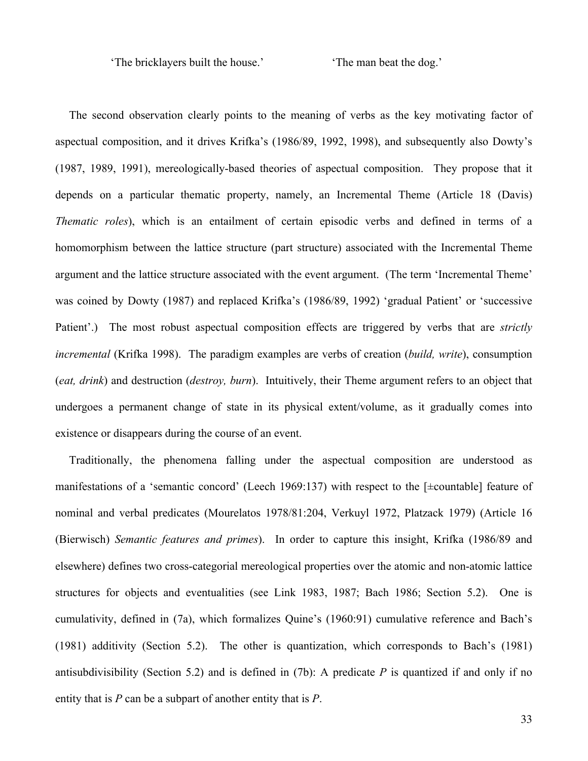'The bricklayers built the house.' 'The man beat the dog.'

The second observation clearly points to the meaning of verbs as the key motivating factor of aspectual composition, and it drives Krifka's (1986/89, 1992, 1998), and subsequently also Dowty's (1987, 1989, 1991), mereologically-based theories of aspectual composition. They propose that it depends on a particular thematic property, namely, an Incremental Theme (Article 18 (Davis) *Thematic roles*), which is an entailment of certain episodic verbs and defined in terms of a homomorphism between the lattice structure (part structure) associated with the Incremental Theme argument and the lattice structure associated with the event argument. (The term 'Incremental Theme' was coined by Dowty (1987) and replaced Krifka's (1986/89, 1992) 'gradual Patient' or 'successive Patient'.) The most robust aspectual composition effects are triggered by verbs that are *strictly incremental* (Krifka 1998). The paradigm examples are verbs of creation (*build, write*), consumption (*eat, drink*) and destruction (*destroy, burn*). Intuitively, their Theme argument refers to an object that undergoes a permanent change of state in its physical extent/volume, as it gradually comes into existence or disappears during the course of an event.

Traditionally, the phenomena falling under the aspectual composition are understood as manifestations of a 'semantic concord' (Leech 1969:137) with respect to the [±countable] feature of nominal and verbal predicates (Mourelatos 1978/81:204, Verkuyl 1972, Platzack 1979) (Article 16 (Bierwisch) *Semantic features and primes*). In order to capture this insight, Krifka (1986/89 and elsewhere) defines two cross-categorial mereological properties over the atomic and non-atomic lattice structures for objects and eventualities (see Link 1983, 1987; Bach 1986; Section 5.2). One is cumulativity, defined in (7a), which formalizes Quine's (1960:91) cumulative reference and Bach's (1981) additivity (Section 5.2). The other is quantization, which corresponds to Bach's (1981) antisubdivisibility (Section 5.2) and is defined in  $(7b)$ : A predicate P is quantized if and only if no entity that is *P* can be a subpart of another entity that is *P*.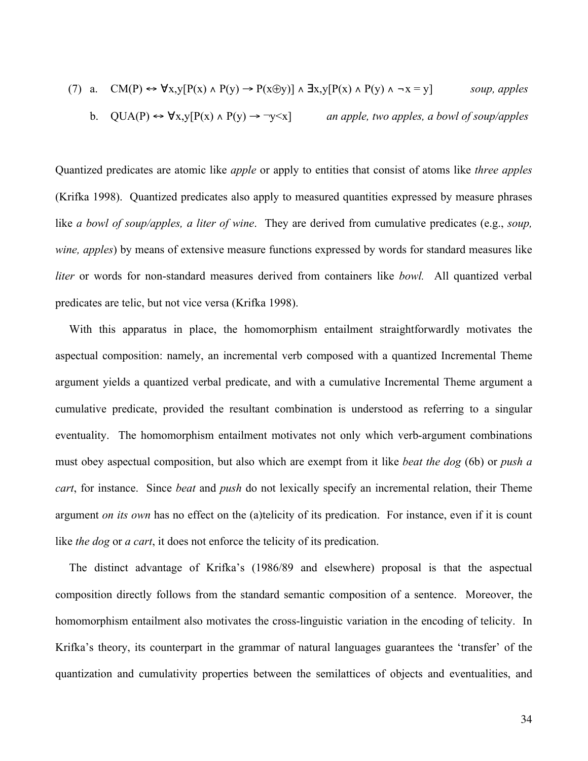\n- (7) a. CM(P) ↔ 
$$
\forall x, y [P(x) \land P(y) \rightarrow P(x \oplus y)] \land \exists x, y [P(x) \land P(y) \land \neg x = y]
$$
 *soup, apples*
\n- b. QUA(P) ↔  $\forall x, y [P(x) \land P(y) \rightarrow \neg y < x]$  *an apple, two apples, a bowl of soup/apples*
\n

Quantized predicates are atomic like *apple* or apply to entities that consist of atoms like *three apples* (Krifka 1998). Quantized predicates also apply to measured quantities expressed by measure phrases like *a bowl of soup/apples, a liter of wine*. They are derived from cumulative predicates (e.g., *soup*, *wine, apples*) by means of extensive measure functions expressed by words for standard measures like *liter* or words for non-standard measures derived from containers like *bowl.* All quantized verbal predicates are telic, but not vice versa (Krifka 1998).

With this apparatus in place, the homomorphism entailment straightforwardly motivates the aspectual composition: namely, an incremental verb composed with a quantized Incremental Theme argument yields a quantized verbal predicate, and with a cumulative Incremental Theme argument a cumulative predicate, provided the resultant combination is understood as referring to a singular eventuality. The homomorphism entailment motivates not only which verb-argument combinations must obey aspectual composition, but also which are exempt from it like *beat the dog* (6b) or *push a cart*, for instance. Since *beat* and *push* do not lexically specify an incremental relation, their Theme argument *on its own* has no effect on the (a)telicity of its predication. For instance, even if it is count like *the dog* or *a cart*, it does not enforce the telicity of its predication.

The distinct advantage of Krifka's (1986/89 and elsewhere) proposal is that the aspectual composition directly follows from the standard semantic composition of a sentence. Moreover, the homomorphism entailment also motivates the cross-linguistic variation in the encoding of telicity. In Krifka's theory, its counterpart in the grammar of natural languages guarantees the 'transfer' of the quantization and cumulativity properties between the semilattices of objects and eventualities, and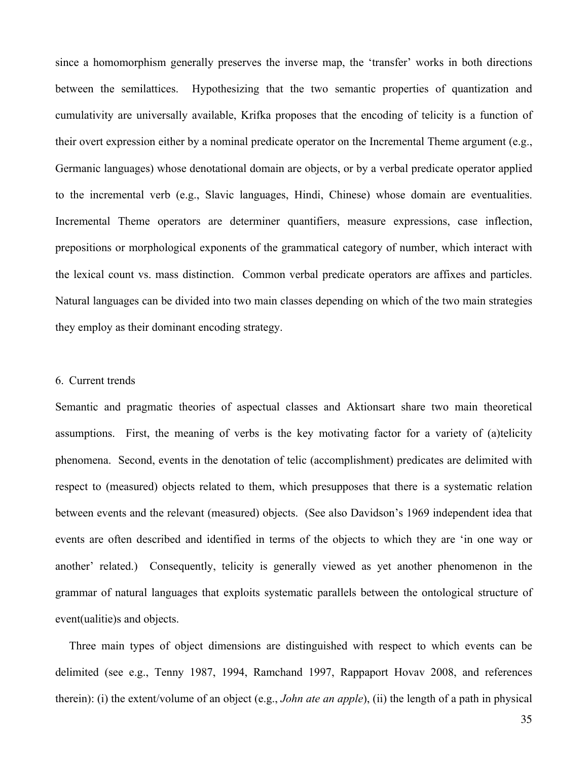since a homomorphism generally preserves the inverse map, the 'transfer' works in both directions between the semilattices. Hypothesizing that the two semantic properties of quantization and cumulativity are universally available, Krifka proposes that the encoding of telicity is a function of their overt expression either by a nominal predicate operator on the Incremental Theme argument (e.g., Germanic languages) whose denotational domain are objects, or by a verbal predicate operator applied to the incremental verb (e.g., Slavic languages, Hindi, Chinese) whose domain are eventualities. Incremental Theme operators are determiner quantifiers, measure expressions, case inflection, prepositions or morphological exponents of the grammatical category of number, which interact with the lexical count vs. mass distinction. Common verbal predicate operators are affixes and particles. Natural languages can be divided into two main classes depending on which of the two main strategies they employ as their dominant encoding strategy.

#### 6. Current trends

Semantic and pragmatic theories of aspectual classes and Aktionsart share two main theoretical assumptions. First, the meaning of verbs is the key motivating factor for a variety of (a)telicity phenomena. Second, events in the denotation of telic (accomplishment) predicates are delimited with respect to (measured) objects related to them, which presupposes that there is a systematic relation between events and the relevant (measured) objects. (See also Davidson's 1969 independent idea that events are often described and identified in terms of the objects to which they are 'in one way or another' related.) Consequently, telicity is generally viewed as yet another phenomenon in the grammar of natural languages that exploits systematic parallels between the ontological structure of event(ualitie)s and objects.

Three main types of object dimensions are distinguished with respect to which events can be delimited (see e.g., Tenny 1987, 1994, Ramchand 1997, Rappaport Hovav 2008, and references therein): (i) the extent/volume of an object (e.g., *John ate an apple*), (ii) the length of a path in physical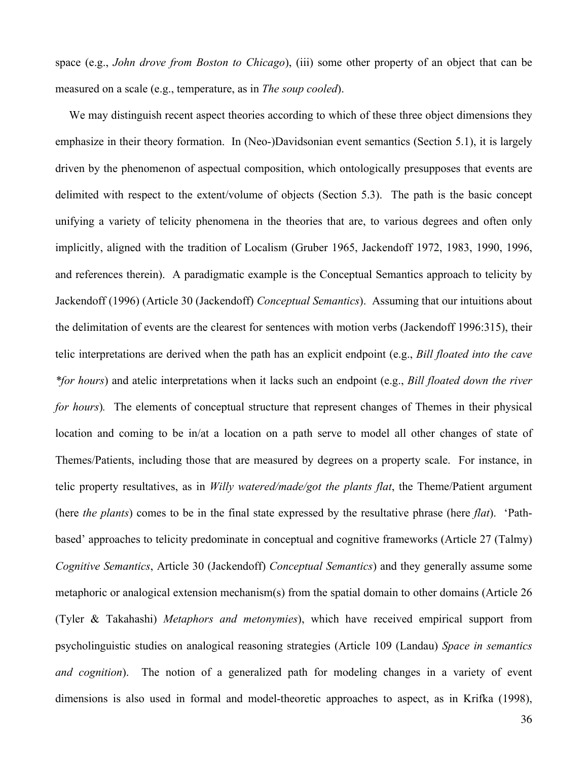space (e.g., *John drove from Boston to Chicago*), (iii) some other property of an object that can be measured on a scale (e.g., temperature, as in *The soup cooled*).

We may distinguish recent aspect theories according to which of these three object dimensions they emphasize in their theory formation. In (Neo-)Davidsonian event semantics (Section 5.1), it is largely driven by the phenomenon of aspectual composition, which ontologically presupposes that events are delimited with respect to the extent/volume of objects (Section 5.3). The path is the basic concept unifying a variety of telicity phenomena in the theories that are, to various degrees and often only implicitly, aligned with the tradition of Localism (Gruber 1965, Jackendoff 1972, 1983, 1990, 1996, and references therein). A paradigmatic example is the Conceptual Semantics approach to telicity by Jackendoff (1996) (Article 30 (Jackendoff) *Conceptual Semantics*). Assuming that our intuitions about the delimitation of events are the clearest for sentences with motion verbs (Jackendoff 1996:315), their telic interpretations are derived when the path has an explicit endpoint (e.g., *Bill floated into the cave \*for hours*) and atelic interpretations when it lacks such an endpoint (e.g., *Bill floated down the river for hours*)*.* The elements of conceptual structure that represent changes of Themes in their physical location and coming to be in/at a location on a path serve to model all other changes of state of Themes/Patients, including those that are measured by degrees on a property scale. For instance, in telic property resultatives, as in *Willy watered/made/got the plants flat*, the Theme/Patient argument (here *the plants*) comes to be in the final state expressed by the resultative phrase (here *flat*). 'Pathbased' approaches to telicity predominate in conceptual and cognitive frameworks (Article 27 (Talmy) *Cognitive Semantics*, Article 30 (Jackendoff) *Conceptual Semantics*) and they generally assume some metaphoric or analogical extension mechanism(s) from the spatial domain to other domains (Article 26 (Tyler & Takahashi) *Metaphors and metonymies*), which have received empirical support from psycholinguistic studies on analogical reasoning strategies (Article 109 (Landau) *Space in semantics and cognition*). The notion of a generalized path for modeling changes in a variety of event dimensions is also used in formal and model-theoretic approaches to aspect, as in Krifka (1998),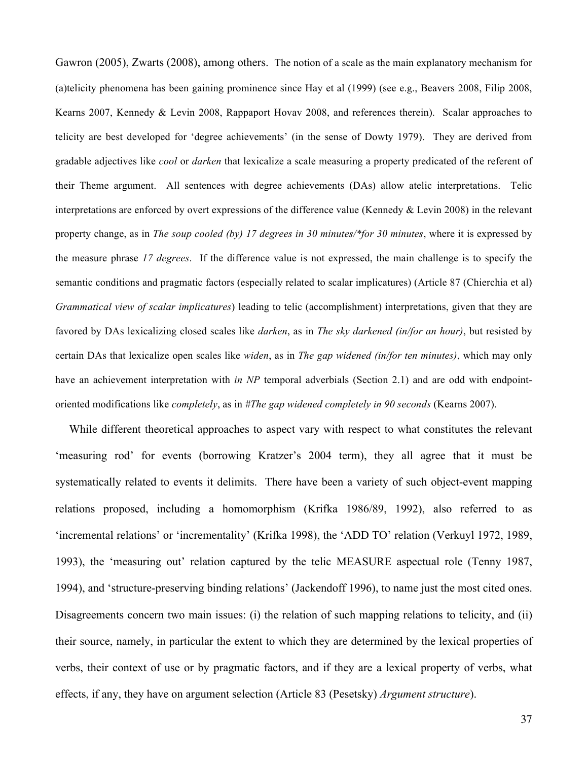Gawron (2005), Zwarts (2008), among others. The notion of a scale as the main explanatory mechanism for (a)telicity phenomena has been gaining prominence since Hay et al (1999) (see e.g., Beavers 2008, Filip 2008, Kearns 2007, Kennedy & Levin 2008, Rappaport Hovav 2008, and references therein). Scalar approaches to telicity are best developed for 'degree achievements' (in the sense of Dowty 1979). They are derived from gradable adjectives like *cool* or *darken* that lexicalize a scale measuring a property predicated of the referent of their Theme argument. All sentences with degree achievements (DAs) allow atelic interpretations. Telic interpretations are enforced by overt expressions of the difference value (Kennedy & Levin 2008) in the relevant property change, as in *The soup cooled (by) 17 degrees in 30 minutes/\*for 30 minutes*, where it is expressed by the measure phrase *17 degrees*. If the difference value is not expressed, the main challenge is to specify the semantic conditions and pragmatic factors (especially related to scalar implicatures) (Article 87 (Chierchia et al) *Grammatical view of scalar implicatures*) leading to telic (accomplishment) interpretations, given that they are favored by DAs lexicalizing closed scales like *darken*, as in *The sky darkened (in/for an hour)*, but resisted by certain DAs that lexicalize open scales like *widen*, as in *The gap widened (in/for ten minutes)*, which may only have an achievement interpretation with *in NP* temporal adverbials (Section 2.1) and are odd with endpointoriented modifications like *completely*, as in *#The gap widened completely in 90 seconds* (Kearns 2007).

While different theoretical approaches to aspect vary with respect to what constitutes the relevant 'measuring rod' for events (borrowing Kratzer's 2004 term), they all agree that it must be systematically related to events it delimits. There have been a variety of such object-event mapping relations proposed, including a homomorphism (Krifka 1986/89, 1992), also referred to as 'incremental relations' or 'incrementality' (Krifka 1998), the 'ADD TO' relation (Verkuyl 1972, 1989, 1993), the 'measuring out' relation captured by the telic MEASURE aspectual role (Tenny 1987, 1994), and 'structure-preserving binding relations' (Jackendoff 1996), to name just the most cited ones. Disagreements concern two main issues: (i) the relation of such mapping relations to telicity, and (ii) their source, namely, in particular the extent to which they are determined by the lexical properties of verbs, their context of use or by pragmatic factors, and if they are a lexical property of verbs, what effects, if any, they have on argument selection (Article 83 (Pesetsky) *Argument structure*).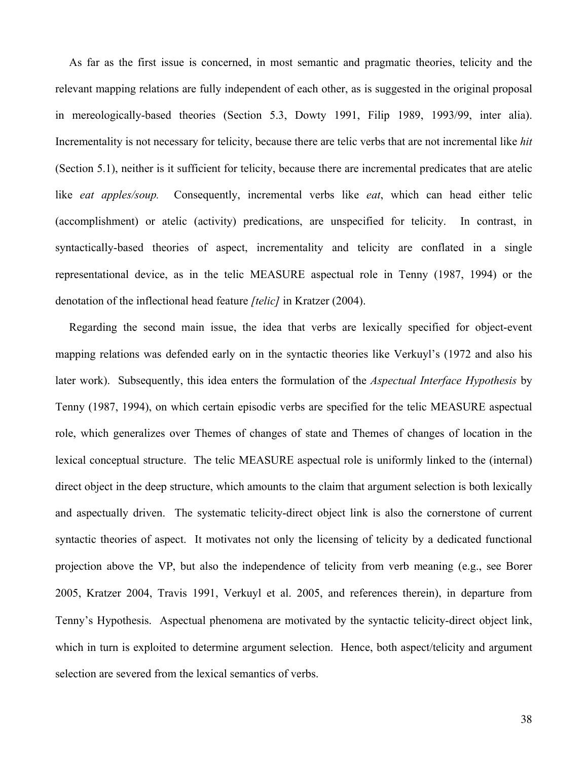As far as the first issue is concerned, in most semantic and pragmatic theories, telicity and the relevant mapping relations are fully independent of each other, as is suggested in the original proposal in mereologically-based theories (Section 5.3, Dowty 1991, Filip 1989, 1993/99, inter alia). Incrementality is not necessary for telicity, because there are telic verbs that are not incremental like *hit* (Section 5.1), neither is it sufficient for telicity, because there are incremental predicates that are atelic like *eat apples/soup.* Consequently, incremental verbs like *eat*, which can head either telic (accomplishment) or atelic (activity) predications, are unspecified for telicity. In contrast, in syntactically-based theories of aspect, incrementality and telicity are conflated in a single representational device, as in the telic MEASURE aspectual role in Tenny (1987, 1994) or the denotation of the inflectional head feature *[telic]* in Kratzer (2004).

Regarding the second main issue, the idea that verbs are lexically specified for object-event mapping relations was defended early on in the syntactic theories like Verkuyl's (1972 and also his later work). Subsequently, this idea enters the formulation of the *Aspectual Interface Hypothesis* by Tenny (1987, 1994), on which certain episodic verbs are specified for the telic MEASURE aspectual role, which generalizes over Themes of changes of state and Themes of changes of location in the lexical conceptual structure. The telic MEASURE aspectual role is uniformly linked to the (internal) direct object in the deep structure, which amounts to the claim that argument selection is both lexically and aspectually driven. The systematic telicity-direct object link is also the cornerstone of current syntactic theories of aspect. It motivates not only the licensing of telicity by a dedicated functional projection above the VP, but also the independence of telicity from verb meaning (e.g., see Borer 2005, Kratzer 2004, Travis 1991, Verkuyl et al. 2005, and references therein), in departure from Tenny's Hypothesis. Aspectual phenomena are motivated by the syntactic telicity-direct object link, which in turn is exploited to determine argument selection. Hence, both aspect/telicity and argument selection are severed from the lexical semantics of verbs.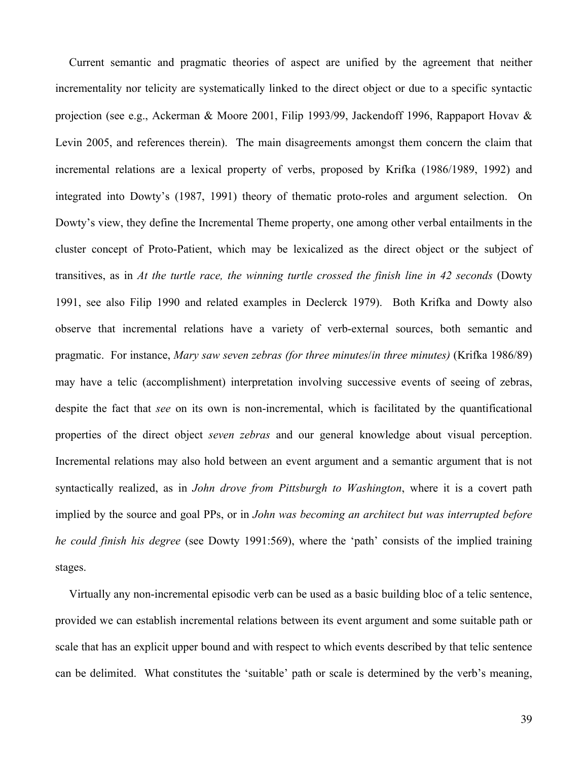Current semantic and pragmatic theories of aspect are unified by the agreement that neither incrementality nor telicity are systematically linked to the direct object or due to a specific syntactic projection (see e.g., Ackerman & Moore 2001, Filip 1993/99, Jackendoff 1996, Rappaport Hovav & Levin 2005, and references therein). The main disagreements amongst them concern the claim that incremental relations are a lexical property of verbs, proposed by Krifka (1986/1989, 1992) and integrated into Dowty's (1987, 1991) theory of thematic proto-roles and argument selection. On Dowty's view, they define the Incremental Theme property, one among other verbal entailments in the cluster concept of Proto-Patient, which may be lexicalized as the direct object or the subject of transitives, as in *At the turtle race, the winning turtle crossed the finish line in 42 seconds* (Dowty 1991, see also Filip 1990 and related examples in Declerck 1979). Both Krifka and Dowty also observe that incremental relations have a variety of verb-external sources, both semantic and pragmatic. For instance, *Mary saw seven zebras (for three minutes*/*in three minutes)* (Krifka 1986/89) may have a telic (accomplishment) interpretation involving successive events of seeing of zebras, despite the fact that *see* on its own is non-incremental, which is facilitated by the quantificational properties of the direct object *seven zebras* and our general knowledge about visual perception. Incremental relations may also hold between an event argument and a semantic argument that is not syntactically realized, as in *John drove from Pittsburgh to Washington*, where it is a covert path implied by the source and goal PPs, or in *John was becoming an architect but was interrupted before he could finish his degree* (see Dowty 1991:569), where the 'path' consists of the implied training stages.

Virtually any non-incremental episodic verb can be used as a basic building bloc of a telic sentence, provided we can establish incremental relations between its event argument and some suitable path or scale that has an explicit upper bound and with respect to which events described by that telic sentence can be delimited. What constitutes the 'suitable' path or scale is determined by the verb's meaning,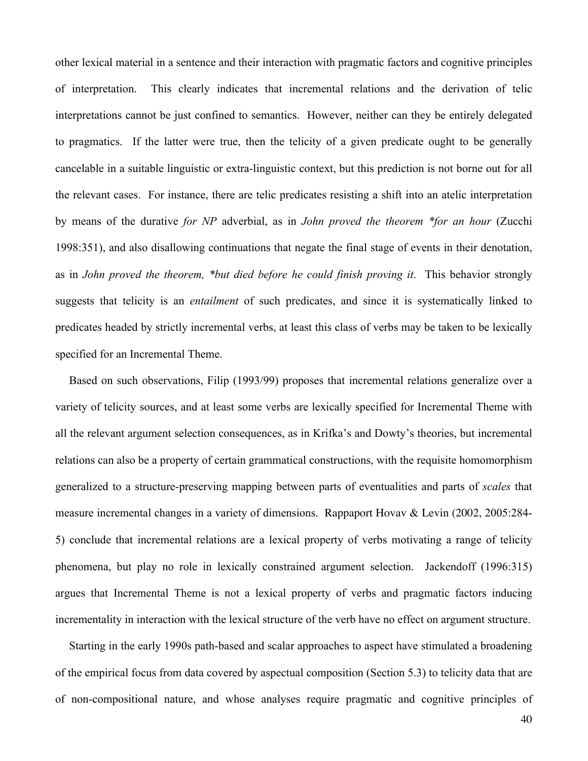other lexical material in a sentence and their interaction with pragmatic factors and cognitive principles of interpretation. This clearly indicates that incremental relations and the derivation of telic interpretations cannot be just confined to semantics. However, neither can they be entirely delegated to pragmatics. If the latter were true, then the telicity of a given predicate ought to be generally cancelable in a suitable linguistic or extra-linguistic context, but this prediction is not borne out for all the relevant cases. For instance, there are telic predicates resisting a shift into an atelic interpretation by means of the durative *for NP* adverbial, as in *John proved the theorem \*for an hour* (Zucchi 1998:351), and also disallowing continuations that negate the final stage of events in their denotation, as in *John proved the theorem, \*but died before he could finish proving it*. This behavior strongly suggests that telicity is an *entailment* of such predicates, and since it is systematically linked to predicates headed by strictly incremental verbs, at least this class of verbs may be taken to be lexically specified for an Incremental Theme.

Based on such observations, Filip (1993/99) proposes that incremental relations generalize over a variety of telicity sources, and at least some verbs are lexically specified for Incremental Theme with all the relevant argument selection consequences, as in Krifka's and Dowty's theories, but incremental relations can also be a property of certain grammatical constructions, with the requisite homomorphism generalized to a structure-preserving mapping between parts of eventualities and parts of *scales* that measure incremental changes in a variety of dimensions. Rappaport Hovav & Levin (2002, 2005:284- 5) conclude that incremental relations are a lexical property of verbs motivating a range of telicity phenomena, but play no role in lexically constrained argument selection. Jackendoff (1996:315) argues that Incremental Theme is not a lexical property of verbs and pragmatic factors inducing incrementality in interaction with the lexical structure of the verb have no effect on argument structure.

Starting in the early 1990s path-based and scalar approaches to aspect have stimulated a broadening of the empirical focus from data covered by aspectual composition (Section 5.3) to telicity data that are of non-compositional nature, and whose analyses require pragmatic and cognitive principles of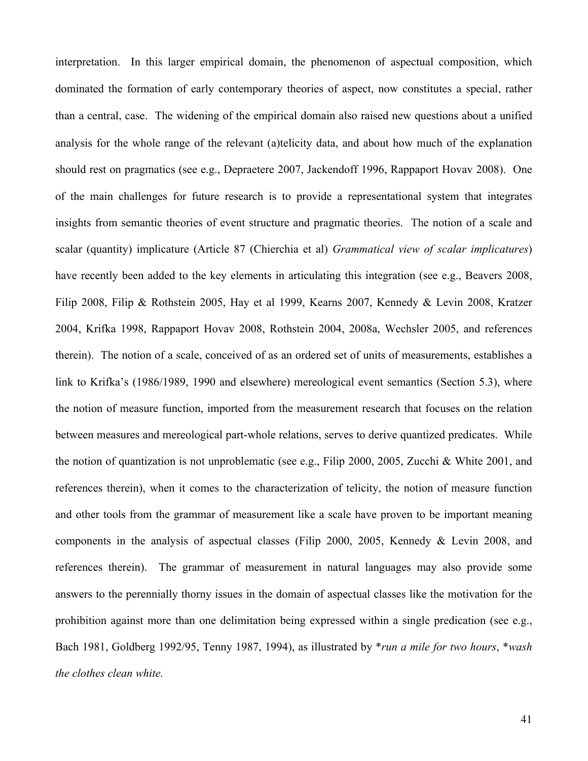interpretation. In this larger empirical domain, the phenomenon of aspectual composition, which dominated the formation of early contemporary theories of aspect, now constitutes a special, rather than a central, case. The widening of the empirical domain also raised new questions about a unified analysis for the whole range of the relevant (a)telicity data, and about how much of the explanation should rest on pragmatics (see e.g., Depraetere 2007, Jackendoff 1996, Rappaport Hovav 2008). One of the main challenges for future research is to provide a representational system that integrates insights from semantic theories of event structure and pragmatic theories. The notion of a scale and scalar (quantity) implicature (Article 87 (Chierchia et al) *Grammatical view of scalar implicatures*) have recently been added to the key elements in articulating this integration (see e.g., Beavers 2008, Filip 2008, Filip & Rothstein 2005, Hay et al 1999, Kearns 2007, Kennedy & Levin 2008, Kratzer 2004, Krifka 1998, Rappaport Hovav 2008, Rothstein 2004, 2008a, Wechsler 2005, and references therein). The notion of a scale, conceived of as an ordered set of units of measurements, establishes a link to Krifka's (1986/1989, 1990 and elsewhere) mereological event semantics (Section 5.3), where the notion of measure function, imported from the measurement research that focuses on the relation between measures and mereological part-whole relations, serves to derive quantized predicates. While the notion of quantization is not unproblematic (see e.g., Filip 2000, 2005, Zucchi & White 2001, and references therein), when it comes to the characterization of telicity, the notion of measure function and other tools from the grammar of measurement like a scale have proven to be important meaning components in the analysis of aspectual classes (Filip 2000, 2005, Kennedy & Levin 2008, and references therein). The grammar of measurement in natural languages may also provide some answers to the perennially thorny issues in the domain of aspectual classes like the motivation for the prohibition against more than one delimitation being expressed within a single predication (see e.g., Bach 1981, Goldberg 1992/95, Tenny 1987, 1994), as illustrated by \**run a mile for two hours*, \**wash the clothes clean white.*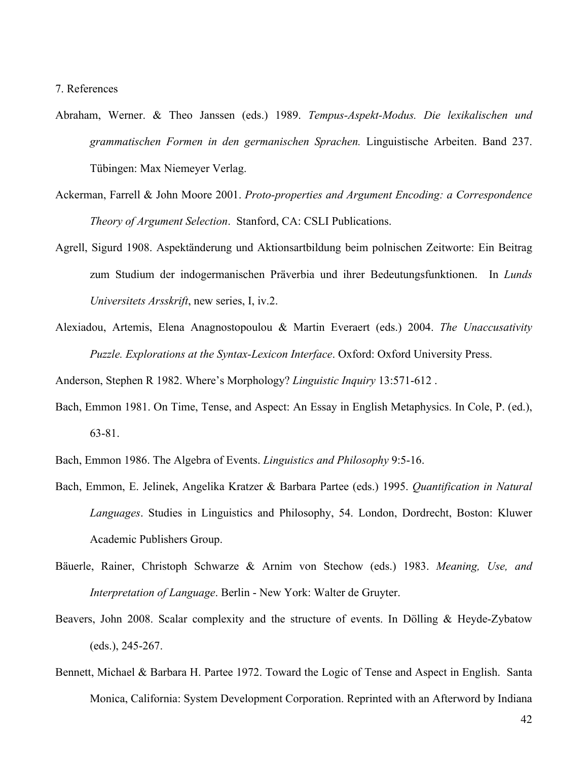#### 7. References

- Abraham, Werner. & Theo Janssen (eds.) 1989. *Tempus-Aspekt-Modus. Die lexikalischen und grammatischen Formen in den germanischen Sprachen.* Linguistische Arbeiten. Band 237. Tübingen: Max Niemeyer Verlag.
- Ackerman, Farrell & John Moore 2001. *Proto-properties and Argument Encoding: a Correspondence Theory of Argument Selection*. Stanford, CA: CSLI Publications.
- Agrell, Sigurd 1908. Aspektänderung und Aktionsartbildung beim polnischen Zeitworte: Ein Beitrag zum Studium der indogermanischen Präverbia und ihrer Bedeutungsfunktionen. In *Lunds Universitets Arsskrift*, new series, I, iv.2.
- Alexiadou, Artemis, Elena Anagnostopoulou & Martin Everaert (eds.) 2004. *The Unaccusativity Puzzle. Explorations at the Syntax-Lexicon Interface*. Oxford: Oxford University Press.

Anderson, Stephen R 1982. Where's Morphology? *Linguistic Inquiry* 13:571-612 .

Bach, Emmon 1981. On Time, Tense, and Aspect: An Essay in English Metaphysics. In Cole, P. (ed.), 63-81.

Bach, Emmon 1986. The Algebra of Events. *Linguistics and Philosophy* 9:5-16.

- Bach, Emmon, E. Jelinek, Angelika Kratzer & Barbara Partee (eds.) 1995. *Quantification in Natural Languages*. Studies in Linguistics and Philosophy, 54. London, Dordrecht, Boston: Kluwer Academic Publishers Group.
- Bäuerle, Rainer, Christoph Schwarze & Arnim von Stechow (eds.) 1983. *Meaning, Use, and Interpretation of Language*. Berlin - New York: Walter de Gruyter.
- Beavers, John 2008. Scalar complexity and the structure of events. In Dölling & Heyde-Zybatow (eds.), 245-267.
- Bennett, Michael & Barbara H. Partee 1972. Toward the Logic of Tense and Aspect in English. Santa Monica, California: System Development Corporation. Reprinted with an Afterword by Indiana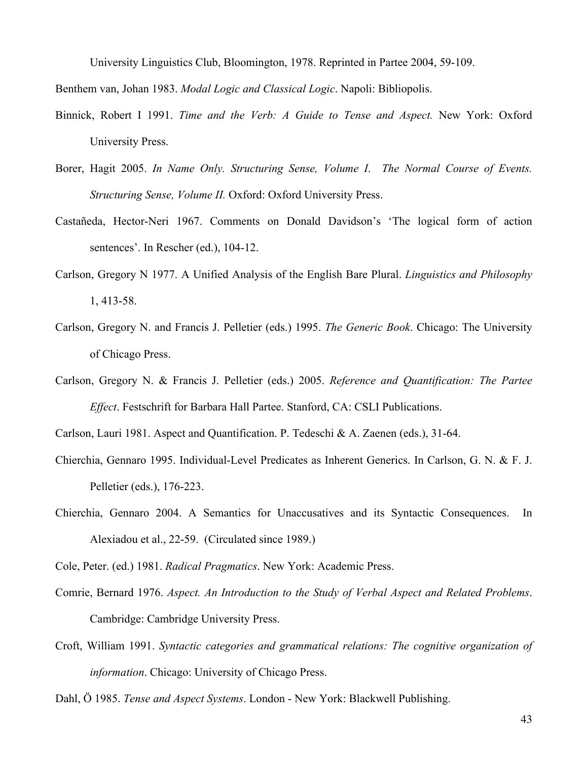University Linguistics Club, Bloomington, 1978. Reprinted in Partee 2004, 59-109.

Benthem van, Johan 1983. *Modal Logic and Classical Logic*. Napoli: Bibliopolis.

- Binnick, Robert I 1991. *Time and the Verb: A Guide to Tense and Aspect.* New York: Oxford University Press.
- Borer, Hagit 2005. *In Name Only. Structuring Sense, Volume I*. *The Normal Course of Events. Structuring Sense, Volume II.* Oxford: Oxford University Press.
- Castañeda, Hector-Neri 1967. Comments on Donald Davidson's 'The logical form of action sentences'. In Rescher (ed.), 104-12.
- Carlson, Gregory N 1977. A Unified Analysis of the English Bare Plural. *Linguistics and Philosophy* 1, 413-58.
- Carlson, Gregory N. and Francis J. Pelletier (eds.) 1995. *The Generic Book*. Chicago: The University of Chicago Press.
- Carlson, Gregory N. & Francis J. Pelletier (eds.) 2005. *Reference and Quantification: The Partee Effect*. Festschrift for Barbara Hall Partee. Stanford, CA: CSLI Publications.

Carlson, Lauri 1981. Aspect and Quantification. P. Tedeschi & A. Zaenen (eds.), 31-64.

- Chierchia, Gennaro 1995. Individual-Level Predicates as Inherent Generics. In Carlson, G. N. & F. J. Pelletier (eds.), 176-223.
- Chierchia, Gennaro 2004. A Semantics for Unaccusatives and its Syntactic Consequences. In Alexiadou et al., 22-59. (Circulated since 1989.)
- Cole, Peter. (ed.) 1981. *Radical Pragmatics*. New York: Academic Press.
- Comrie, Bernard 1976. *Aspect. An Introduction to the Study of Verbal Aspect and Related Problems*. Cambridge: Cambridge University Press.
- Croft, William 1991. *Syntactic categories and grammatical relations: The cognitive organization of information*. Chicago: University of Chicago Press.
- Dahl, Ö 1985. *Tense and Aspect Systems*. London New York: Blackwell Publishing.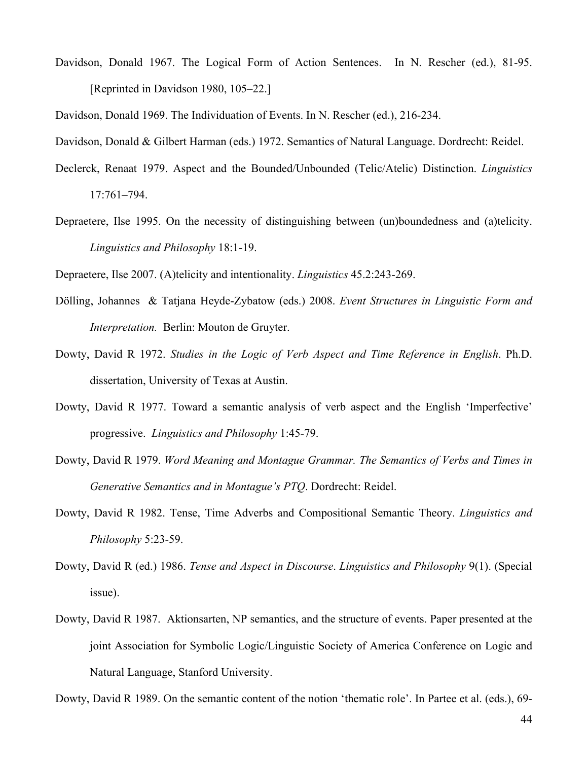Davidson, Donald 1967. The Logical Form of Action Sentences. In N. Rescher (ed.), 81-95. [Reprinted in Davidson 1980, 105–22.]

Davidson, Donald 1969. The Individuation of Events. In N. Rescher (ed.), 216-234.

Davidson, Donald & Gilbert Harman (eds.) 1972. Semantics of Natural Language. Dordrecht: Reidel.

- Declerck, Renaat 1979. Aspect and the Bounded/Unbounded (Telic/Atelic) Distinction. *Linguistics*  17:761–794.
- Depraetere, Ilse 1995. On the necessity of distinguishing between (un)boundedness and (a)telicity. *Linguistics and Philosophy* 18:1-19.

Depraetere, Ilse 2007. (A)telicity and intentionality. *Linguistics* 45.2:243-269.

- Dölling, Johannes & Tatjana Heyde-Zybatow (eds.) 2008. *Event Structures in Linguistic Form and Interpretation.* Berlin: Mouton de Gruyter.
- Dowty, David R 1972. *Studies in the Logic of Verb Aspect and Time Reference in English*. Ph.D. dissertation, University of Texas at Austin.
- Dowty, David R 1977. Toward a semantic analysis of verb aspect and the English 'Imperfective' progressive. *Linguistics and Philosophy* 1:45-79.
- Dowty, David R 1979. *Word Meaning and Montague Grammar. The Semantics of Verbs and Times in Generative Semantics and in Montague's PTQ*. Dordrecht: Reidel.
- Dowty, David R 1982. Tense, Time Adverbs and Compositional Semantic Theory. *Linguistics and Philosophy* 5:23-59.
- Dowty, David R (ed.) 1986. *Tense and Aspect in Discourse*. *Linguistics and Philosophy* 9(1). (Special issue).
- Dowty, David R 1987. Aktionsarten, NP semantics, and the structure of events. Paper presented at the joint Association for Symbolic Logic/Linguistic Society of America Conference on Logic and Natural Language, Stanford University.

Dowty, David R 1989. On the semantic content of the notion 'thematic role'. In Partee et al. (eds.), 69-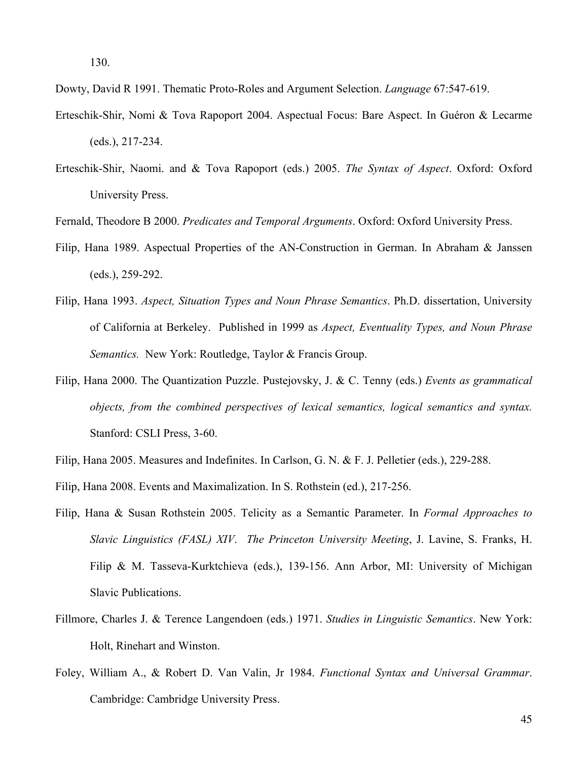130.

- Dowty, David R 1991. Thematic Proto-Roles and Argument Selection. *Language* 67:547-619.
- Erteschik-Shir, Nomi & Tova Rapoport 2004. Aspectual Focus: Bare Aspect. In Guéron & Lecarme (eds.), 217-234.
- Erteschik-Shir, Naomi. and & Tova Rapoport (eds.) 2005. *The Syntax of Aspect*. Oxford: Oxford University Press.
- Fernald, Theodore B 2000. *Predicates and Temporal Arguments*. Oxford: Oxford University Press.
- Filip, Hana 1989. Aspectual Properties of the AN-Construction in German. In Abraham & Janssen (eds.), 259-292.
- Filip, Hana 1993. *Aspect, Situation Types and Noun Phrase Semantics*. Ph.D. dissertation, University of California at Berkeley. Published in 1999 as *Aspect, Eventuality Types, and Noun Phrase Semantics.* New York: Routledge, Taylor & Francis Group.
- Filip, Hana 2000. The Quantization Puzzle. Pustejovsky, J. & C. Tenny (eds.) *Events as grammatical objects, from the combined perspectives of lexical semantics, logical semantics and syntax.*  Stanford: CSLI Press, 3-60.
- Filip, Hana 2005. Measures and Indefinites. In Carlson, G. N. & F. J. Pelletier (eds.), 229-288.
- Filip, Hana 2008. Events and Maximalization. In S. Rothstein (ed.), 217-256.
- Filip, Hana & Susan Rothstein 2005. Telicity as a Semantic Parameter. In *Formal Approaches to Slavic Linguistics (FASL) XIV*. *The Princeton University Meeting*, J. Lavine, S. Franks, H. Filip & M. Tasseva-Kurktchieva (eds.), 139-156. Ann Arbor, MI: University of Michigan Slavic Publications.
- Fillmore, Charles J. & Terence Langendoen (eds.) 1971. *Studies in Linguistic Semantics*. New York: Holt, Rinehart and Winston.
- Foley, William A., & Robert D. Van Valin, Jr 1984. *Functional Syntax and Universal Grammar*. Cambridge: Cambridge University Press.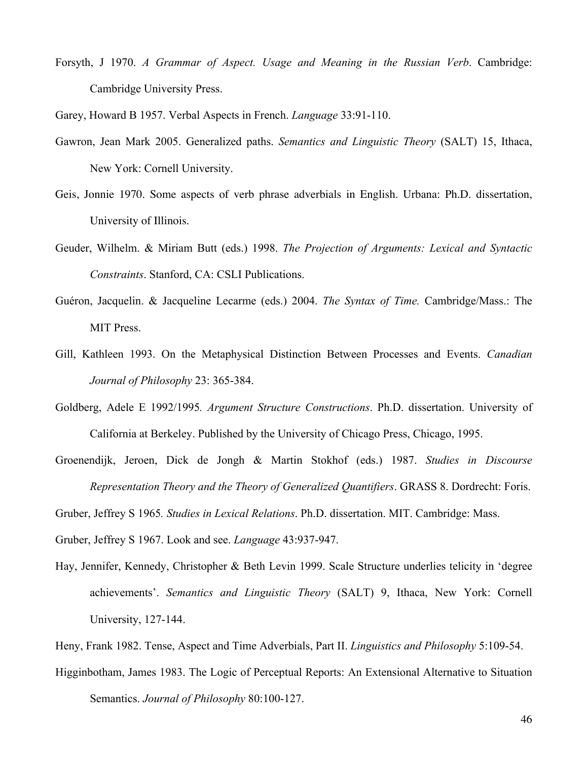Forsyth, J 1970. *A Grammar of Aspect. Usage and Meaning in the Russian Verb*. Cambridge: Cambridge University Press.

Garey, Howard B 1957. Verbal Aspects in French. *Language* 33:91-110.

- Gawron, Jean Mark 2005. Generalized paths. *Semantics and Linguistic Theory* (SALT) 15, Ithaca, New York: Cornell University.
- Geis, Jonnie 1970. Some aspects of verb phrase adverbials in English. Urbana: Ph.D. dissertation, University of Illinois.
- Geuder, Wilhelm. & Miriam Butt (eds.) 1998. *The Projection of Arguments: Lexical and Syntactic Constraints*. Stanford, CA: CSLI Publications.
- Guéron, Jacquelin. & Jacqueline Lecarme (eds.) 2004. *The Syntax of Time.* Cambridge/Mass.: The MIT Press.
- Gill, Kathleen 1993. On the Metaphysical Distinction Between Processes and Events. *Canadian Journal of Philosophy* 23: 365-384.
- Goldberg, Adele E 1992/1995*. Argument Structure Constructions*. Ph.D. dissertation. University of California at Berkeley. Published by the University of Chicago Press, Chicago, 1995.
- Groenendijk, Jeroen, Dick de Jongh & Martin Stokhof (eds.) 1987. *Studies in Discourse Representation Theory and the Theory of Generalized Quantifiers*. GRASS 8. Dordrecht: Foris.

Gruber, Jeffrey S 1965*. Studies in Lexical Relations*. Ph.D. dissertation. MIT. Cambridge: Mass.

Gruber, Jeffrey S 1967. Look and see. *Language* 43:937-947.

- Hay, Jennifer, Kennedy, Christopher & Beth Levin 1999. Scale Structure underlies telicity in 'degree achievements'. *Semantics and Linguistic Theory* (SALT) 9, Ithaca, New York: Cornell University, 127-144.
- Heny, Frank 1982. Tense, Aspect and Time Adverbials, Part II. *Linguistics and Philosophy* 5:109-54.
- Higginbotham, James 1983. The Logic of Perceptual Reports: An Extensional Alternative to Situation Semantics. *Journal of Philosophy* 80:100-127.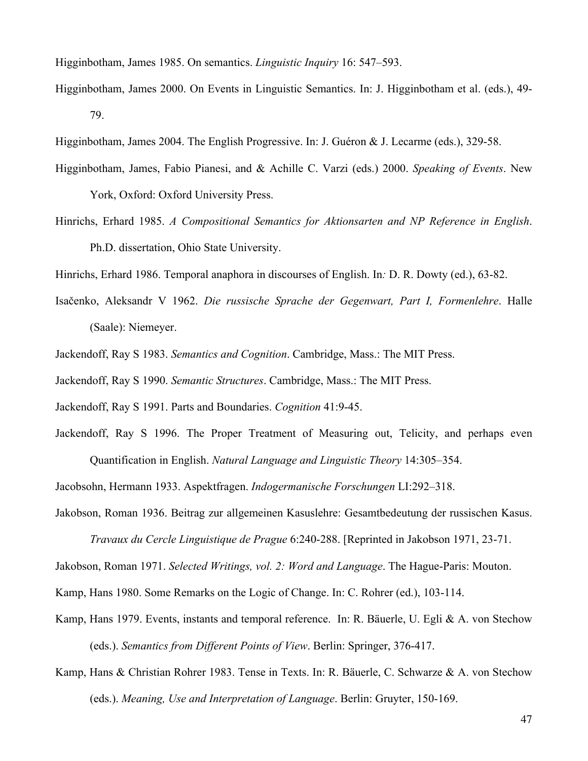Higginbotham, James 1985. On semantics. *Linguistic Inquiry* 16: 547–593.

Higginbotham, James 2000. On Events in Linguistic Semantics. In: J. Higginbotham et al. (eds.), 49- 79.

Higginbotham, James 2004. The English Progressive. In: J. Guéron & J. Lecarme (eds.), 329-58.

- Higginbotham, James, Fabio Pianesi, and & Achille C. Varzi (eds.) 2000. *Speaking of Events*. New York, Oxford: Oxford University Press.
- Hinrichs, Erhard 1985. *A Compositional Semantics for Aktionsarten and NP Reference in English*. Ph.D. dissertation, Ohio State University.

Hinrichs, Erhard 1986. Temporal anaphora in discourses of English. In*:* D. R. Dowty (ed.), 63-82.

- Isačenko, Aleksandr V 1962. *Die russische Sprache der Gegenwart, Part I, Formenlehre*. Halle (Saale): Niemeyer.
- Jackendoff, Ray S 1983. *Semantics and Cognition*. Cambridge, Mass.: The MIT Press.

Jackendoff, Ray S 1990. *Semantic Structures*. Cambridge, Mass.: The MIT Press.

Jackendoff, Ray S 1991. Parts and Boundaries. *Cognition* 41:9-45.

Jackendoff, Ray S 1996. The Proper Treatment of Measuring out, Telicity, and perhaps even Quantification in English. *Natural Language and Linguistic Theory* 14:305–354.

Jacobsohn, Hermann 1933. Aspektfragen. *Indogermanische Forschungen* LI:292–318.

Jakobson, Roman 1936. Beitrag zur allgemeinen Kasuslehre: Gesamtbedeutung der russischen Kasus.

*Travaux du Cercle Linguistique de Prague* 6:240-288. [Reprinted in Jakobson 1971, 23-71.

Jakobson, Roman 1971. *Selected Writings, vol. 2: Word and Language*. The Hague-Paris: Mouton.

Kamp, Hans 1980. Some Remarks on the Logic of Change. In: C. Rohrer (ed.), 103-114.

- Kamp, Hans 1979. Events, instants and temporal reference. In: R. Bäuerle, U. Egli & A. von Stechow (eds.). *Semantics from Different Points of View*. Berlin: Springer, 376-417.
- Kamp, Hans & Christian Rohrer 1983. Tense in Texts. In: R. Bäuerle, C. Schwarze & A. von Stechow (eds.). *Meaning, Use and Interpretation of Language*. Berlin: Gruyter, 150-169.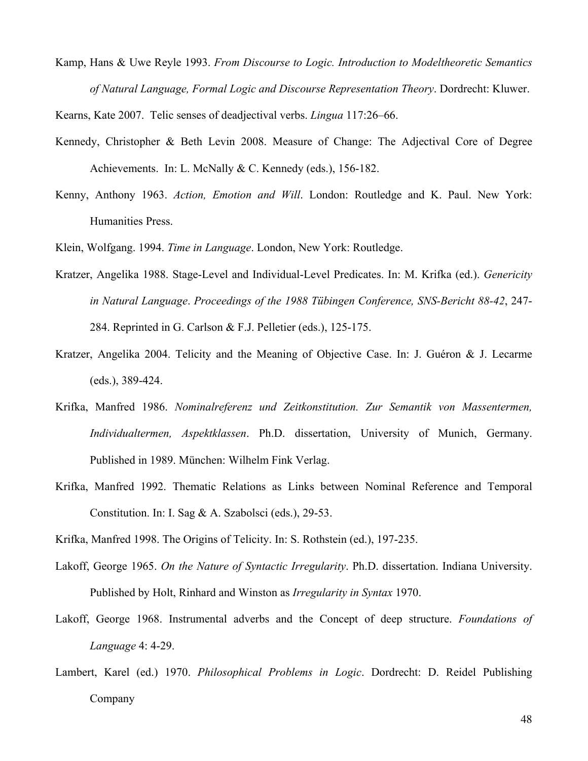Kamp, Hans & Uwe Reyle 1993. *From Discourse to Logic. Introduction to Modeltheoretic Semantics of Natural Language, Formal Logic and Discourse Representation Theory*. Dordrecht: Kluwer.

Kearns, Kate 2007. Telic senses of deadjectival verbs. *Lingua* 117:26–66.

- Kennedy, Christopher & Beth Levin 2008. Measure of Change: The Adjectival Core of Degree Achievements. In: L. McNally & C. Kennedy (eds.), 156-182.
- Kenny, Anthony 1963. *Action, Emotion and Will*. London: Routledge and K. Paul. New York: Humanities Press.
- Klein, Wolfgang. 1994. *Time in Language*. London, New York: Routledge.
- Kratzer, Angelika 1988. Stage-Level and Individual-Level Predicates. In: M. Krifka (ed.). *Genericity in Natural Language*. *Proceedings of the 1988 Tübingen Conference, SNS-Bericht 88-42*, 247- 284. Reprinted in G. Carlson & F.J. Pelletier (eds.), 125-175.
- Kratzer, Angelika 2004. Telicity and the Meaning of Objective Case. In: J. Guéron & J. Lecarme (eds.), 389-424.
- Krifka, Manfred 1986. *Nominalreferenz und Zeitkonstitution. Zur Semantik von Massentermen, Individualtermen, Aspektklassen*. Ph.D. dissertation, University of Munich, Germany. Published in 1989. München: Wilhelm Fink Verlag.
- Krifka, Manfred 1992. Thematic Relations as Links between Nominal Reference and Temporal Constitution. In: I. Sag & A. Szabolsci (eds.), 29-53.
- Krifka, Manfred 1998. The Origins of Telicity. In: S. Rothstein (ed.), 197-235.
- Lakoff, George 1965. *On the Nature of Syntactic Irregularity*. Ph.D. dissertation. Indiana University. Published by Holt, Rinhard and Winston as *Irregularity in Syntax* 1970.
- Lakoff, George 1968. Instrumental adverbs and the Concept of deep structure. *Foundations of Language* 4: 4-29.
- Lambert, Karel (ed.) 1970. *Philosophical Problems in Logic*. Dordrecht: D. Reidel Publishing Company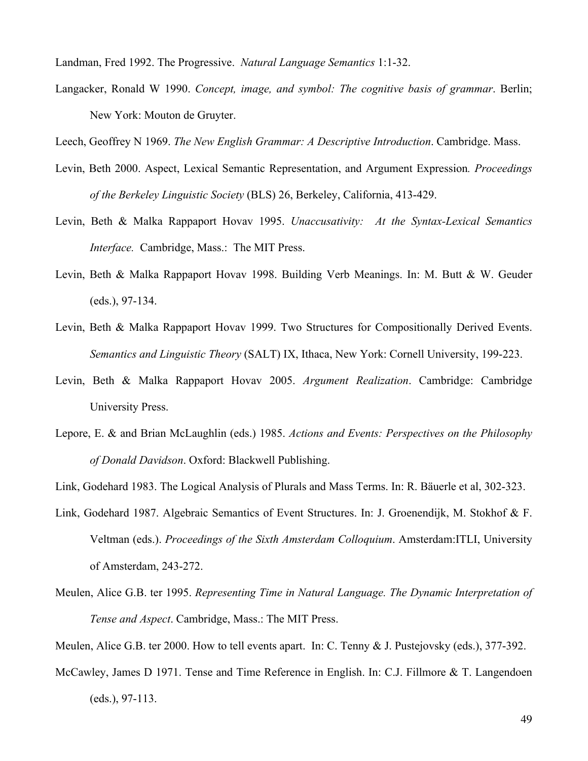Landman, Fred 1992. The Progressive. *Natural Language Semantics* 1:1-32.

- Langacker, Ronald W 1990. *Concept, image, and symbol: The cognitive basis of grammar*. Berlin; New York: Mouton de Gruyter.
- Leech, Geoffrey N 1969. *The New English Grammar: A Descriptive Introduction*. Cambridge. Mass.
- Levin, Beth 2000. Aspect, Lexical Semantic Representation, and Argument Expression*. Proceedings of the Berkeley Linguistic Society* (BLS) 26, Berkeley, California, 413-429.
- Levin, Beth & Malka Rappaport Hovav 1995. *Unaccusativity: At the Syntax-Lexical Semantics Interface.* Cambridge, Mass.: The MIT Press.
- Levin, Beth & Malka Rappaport Hovav 1998. Building Verb Meanings. In: M. Butt & W. Geuder (eds.), 97-134.
- Levin, Beth & Malka Rappaport Hovav 1999. Two Structures for Compositionally Derived Events. *Semantics and Linguistic Theory* (SALT) IX, Ithaca, New York: Cornell University, 199-223.
- Levin, Beth & Malka Rappaport Hovav 2005. *Argument Realization*. Cambridge: Cambridge University Press.
- Lepore, E. & and Brian McLaughlin (eds.) 1985. *Actions and Events: Perspectives on the Philosophy of Donald Davidson*. Oxford: Blackwell Publishing.

Link, Godehard 1983. The Logical Analysis of Plurals and Mass Terms. In: R. Bäuerle et al, 302-323.

- Link, Godehard 1987. Algebraic Semantics of Event Structures. In: J. Groenendijk, M. Stokhof & F. Veltman (eds.). *Proceedings of the Sixth Amsterdam Colloquium*. Amsterdam:ITLI, University of Amsterdam, 243-272.
- Meulen, Alice G.B. ter 1995. *Representing Time in Natural Language. The Dynamic Interpretation of Tense and Aspect*. Cambridge, Mass.: The MIT Press.

Meulen, Alice G.B. ter 2000. How to tell events apart. In: C. Tenny & J. Pustejovsky (eds.), 377-392.

McCawley, James D 1971. Tense and Time Reference in English. In: C.J. Fillmore & T. Langendoen (eds.), 97-113.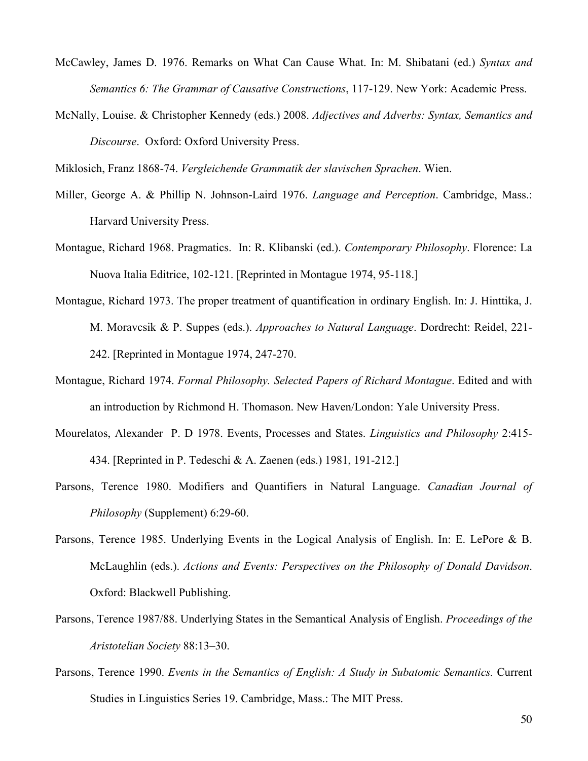- McCawley, James D. 1976. Remarks on What Can Cause What. In: M. Shibatani (ed.) *Syntax and Semantics 6: The Grammar of Causative Constructions*, 117-129. New York: Academic Press.
- McNally, Louise. & Christopher Kennedy (eds.) 2008. *Adjectives and Adverbs: Syntax, Semantics and Discourse*. Oxford: Oxford University Press.

Miklosich, Franz 1868-74. *Vergleichende Grammatik der slavischen Sprachen*. Wien.

- Miller, George A. & Phillip N. Johnson-Laird 1976. *Language and Perception*. Cambridge, Mass.: Harvard University Press.
- Montague, Richard 1968. Pragmatics. In: R. Klibanski (ed.). *Contemporary Philosophy*. Florence: La Nuova Italia Editrice, 102-121. [Reprinted in Montague 1974, 95-118.]
- Montague, Richard 1973. The proper treatment of quantification in ordinary English. In: J. Hinttika, J. M. Moravcsik & P. Suppes (eds.). *Approaches to Natural Language*. Dordrecht: Reidel, 221- 242. [Reprinted in Montague 1974, 247-270.
- Montague, Richard 1974. *Formal Philosophy. Selected Papers of Richard Montague*. Edited and with an introduction by Richmond H. Thomason. New Haven/London: Yale University Press.
- Mourelatos, Alexander P. D 1978. Events, Processes and States. *Linguistics and Philosophy* 2:415- 434. [Reprinted in P. Tedeschi & A. Zaenen (eds.) 1981, 191-212.]
- Parsons, Terence 1980. Modifiers and Quantifiers in Natural Language. *Canadian Journal of Philosophy* (Supplement) 6:29-60.
- Parsons, Terence 1985. Underlying Events in the Logical Analysis of English. In: E. LePore & B. McLaughlin (eds.). *Actions and Events: Perspectives on the Philosophy of Donald Davidson*. Oxford: Blackwell Publishing.
- Parsons, Terence 1987/88. Underlying States in the Semantical Analysis of English. *Proceedings of the Aristotelian Society* 88:13–30.
- Parsons, Terence 1990. *Events in the Semantics of English: A Study in Subatomic Semantics.* Current Studies in Linguistics Series 19. Cambridge, Mass.: The MIT Press.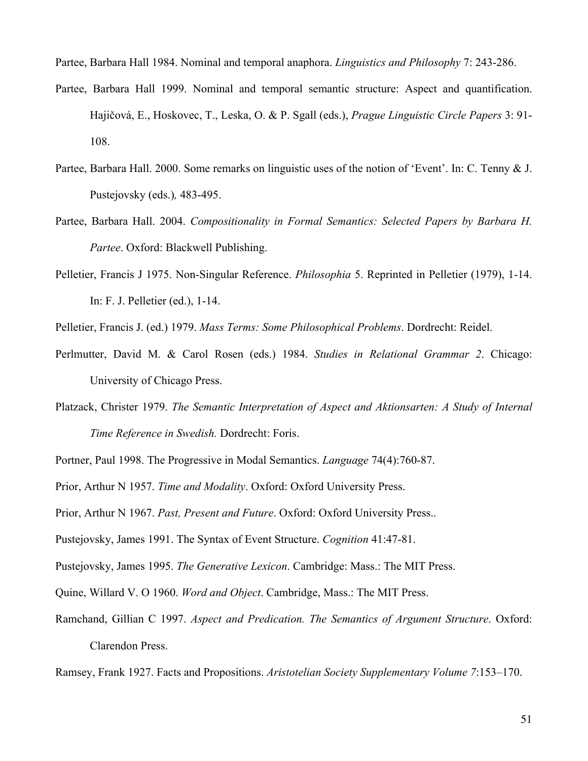Partee, Barbara Hall 1984. Nominal and temporal anaphora. *Linguistics and Philosophy* 7: 243-286.

- Partee, Barbara Hall 1999. Nominal and temporal semantic structure: Aspect and quantification. Hajičová, E., Hoskovec, T., Leska, O. & P. Sgall (eds.), *Prague Linguistic Circle Papers* 3: 91- 108.
- Partee, Barbara Hall. 2000. Some remarks on linguistic uses of the notion of 'Event'. In: C. Tenny & J. Pustejovsky (eds.)*,* 483-495.
- Partee, Barbara Hall. 2004. *Compositionality in Formal Semantics: Selected Papers by Barbara H. Partee*. Oxford: Blackwell Publishing.
- Pelletier, Francis J 1975. Non-Singular Reference. *Philosophia* 5. Reprinted in Pelletier (1979), 1-14. In: F. J. Pelletier (ed.), 1-14.
- Pelletier, Francis J. (ed.) 1979. *Mass Terms: Some Philosophical Problems*. Dordrecht: Reidel.
- Perlmutter, David M. & Carol Rosen (eds.) 1984. *Studies in Relational Grammar 2*. Chicago: University of Chicago Press.
- Platzack, Christer 1979. *The Semantic Interpretation of Aspect and Aktionsarten: A Study of Internal Time Reference in Swedish.* Dordrecht: Foris.
- Portner, Paul 1998. The Progressive in Modal Semantics. *Language* 74(4):760-87.
- Prior, Arthur N 1957. *Time and Modality*. Oxford: Oxford University Press.
- Prior, Arthur N 1967. *Past, Present and Future*. Oxford: Oxford University Press..
- Pustejovsky, James 1991. The Syntax of Event Structure. *Cognition* 41:47-81.
- Pustejovsky, James 1995. *The Generative Lexicon*. Cambridge: Mass.: The MIT Press.
- Quine, Willard V. O 1960. *Word and Object*. Cambridge, Mass.: The MIT Press.
- Ramchand, Gillian C 1997. *Aspect and Predication. The Semantics of Argument Structure*. Oxford: Clarendon Press.

Ramsey, Frank 1927. Facts and Propositions. *Aristotelian Society Supplementary Volume 7*:153–170.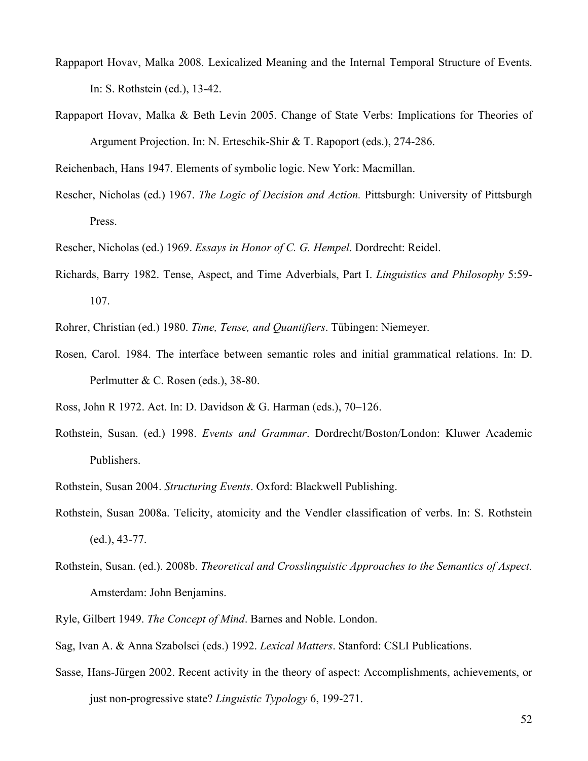- Rappaport Hovav, Malka 2008. Lexicalized Meaning and the Internal Temporal Structure of Events. In: S. Rothstein (ed.), 13-42.
- Rappaport Hovav, Malka & Beth Levin 2005. Change of State Verbs: Implications for Theories of Argument Projection. In: N. Erteschik-Shir & T. Rapoport (eds.), 274-286.

Reichenbach, Hans 1947. Elements of symbolic logic. New York: Macmillan.

- Rescher, Nicholas (ed.) 1967. *The Logic of Decision and Action.* Pittsburgh: University of Pittsburgh Press.
- Rescher, Nicholas (ed.) 1969. *Essays in Honor of C. G. Hempel*. Dordrecht: Reidel.
- Richards, Barry 1982. Tense, Aspect, and Time Adverbials, Part I. *Linguistics and Philosophy* 5:59- 107.
- Rohrer, Christian (ed.) 1980. *Time, Tense, and Quantifiers*. Tübingen: Niemeyer.
- Rosen, Carol. 1984. The interface between semantic roles and initial grammatical relations. In: D. Perlmutter & C. Rosen (eds.), 38-80.
- Ross, John R 1972. Act. In: D. Davidson & G. Harman (eds.), 70–126.
- Rothstein, Susan. (ed.) 1998. *Events and Grammar*. Dordrecht/Boston/London: Kluwer Academic Publishers.
- Rothstein, Susan 2004. *Structuring Events*. Oxford: Blackwell Publishing.
- Rothstein, Susan 2008a. Telicity, atomicity and the Vendler classification of verbs. In: S. Rothstein (ed.), 43-77.
- Rothstein, Susan. (ed.). 2008b. *Theoretical and Crosslinguistic Approaches to the Semantics of Aspect.*  Amsterdam: John Benjamins.
- Ryle, Gilbert 1949. *The Concept of Mind*. Barnes and Noble. London.
- Sag, Ivan A. & Anna Szabolsci (eds.) 1992. *Lexical Matters*. Stanford: CSLI Publications.
- Sasse, Hans-Jürgen 2002. Recent activity in the theory of aspect: Accomplishments, achievements, or just non-progressive state? *Linguistic Typology* 6, 199-271.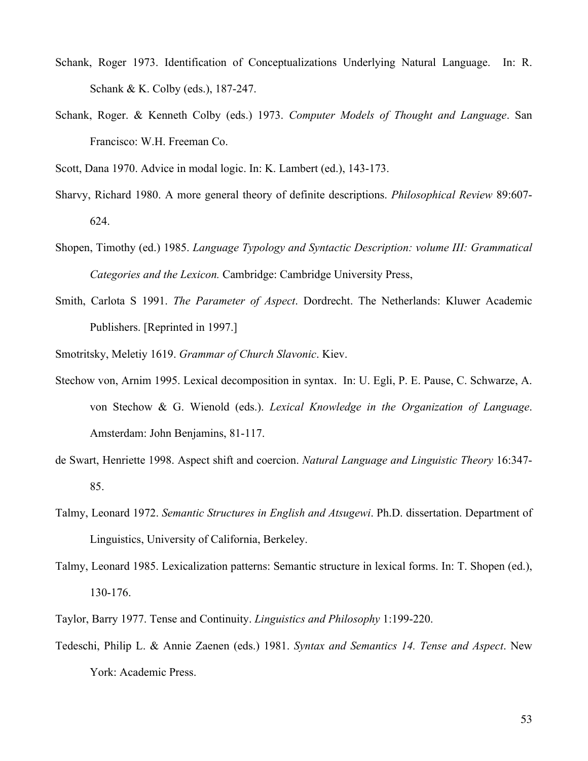- Schank, Roger 1973. Identification of Conceptualizations Underlying Natural Language. In: R. Schank & K. Colby (eds.), 187-247.
- Schank, Roger. & Kenneth Colby (eds.) 1973. *Computer Models of Thought and Language*. San Francisco: W.H. Freeman Co.

Scott, Dana 1970. Advice in modal logic. In: K. Lambert (ed.), 143-173.

- Sharvy, Richard 1980. A more general theory of definite descriptions. *Philosophical Review* 89:607- 624.
- Shopen, Timothy (ed.) 1985. *Language Typology and Syntactic Description: volume III: Grammatical Categories and the Lexicon.* Cambridge: Cambridge University Press,
- Smith, Carlota S 1991. *The Parameter of Aspect*. Dordrecht. The Netherlands: Kluwer Academic Publishers. [Reprinted in 1997.]

Smotritsky, Meletiy 1619. *Grammar of Church Slavonic*. Kiev.

- Stechow von, Arnim 1995. Lexical decomposition in syntax. In: U. Egli, P. E. Pause, C. Schwarze, A. von Stechow & G. Wienold (eds.). *Lexical Knowledge in the Organization of Language*. Amsterdam: John Benjamins, 81-117.
- de Swart, Henriette 1998. Aspect shift and coercion. *Natural Language and Linguistic Theory* 16:347- 85.
- Talmy, Leonard 1972. *Semantic Structures in English and Atsugewi*. Ph.D. dissertation. Department of Linguistics, University of California, Berkeley.
- Talmy, Leonard 1985. Lexicalization patterns: Semantic structure in lexical forms. In: T. Shopen (ed.), 130-176.
- Taylor, Barry 1977. Tense and Continuity. *Linguistics and Philosophy* 1:199-220.
- Tedeschi, Philip L. & Annie Zaenen (eds.) 1981. *Syntax and Semantics 14. Tense and Aspect*. New York: Academic Press.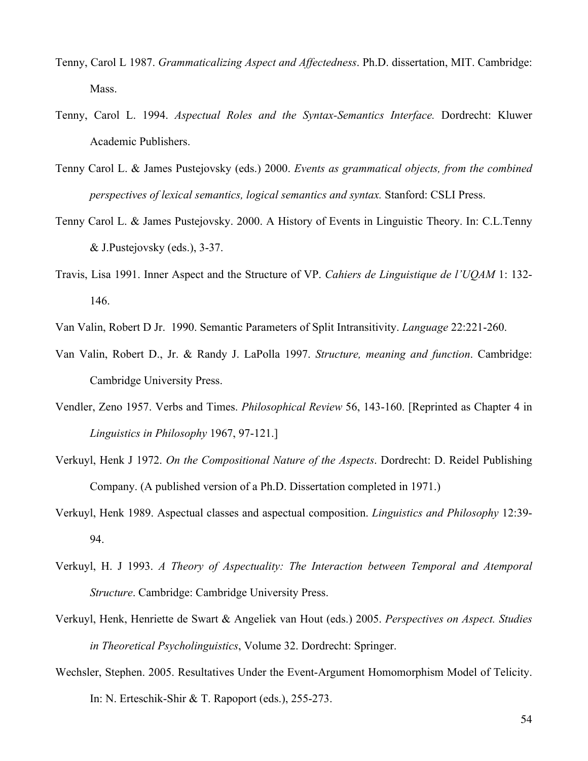- Tenny, Carol L 1987. *Grammaticalizing Aspect and Affectedness*. Ph.D. dissertation, MIT. Cambridge: Mass.
- Tenny, Carol L. 1994. *Aspectual Roles and the Syntax-Semantics Interface.* Dordrecht: Kluwer Academic Publishers.
- Tenny Carol L. & James Pustejovsky (eds.) 2000. *Events as grammatical objects, from the combined perspectives of lexical semantics, logical semantics and syntax.* Stanford: CSLI Press.
- Tenny Carol L. & James Pustejovsky. 2000. A History of Events in Linguistic Theory. In: C.L.Tenny & J.Pustejovsky (eds.), 3-37.
- Travis, Lisa 1991. Inner Aspect and the Structure of VP. *Cahiers de Linguistique de l'UQAM* 1: 132- 146.
- Van Valin, Robert D Jr. 1990. Semantic Parameters of Split Intransitivity. *Language* 22:221-260.
- Van Valin, Robert D., Jr. & Randy J. LaPolla 1997. *Structure, meaning and function*. Cambridge: Cambridge University Press.
- Vendler, Zeno 1957. Verbs and Times. *Philosophical Review* 56, 143-160. [Reprinted as Chapter 4 in *Linguistics in Philosophy* 1967, 97-121.]
- Verkuyl, Henk J 1972. *On the Compositional Nature of the Aspects*. Dordrecht: D. Reidel Publishing Company. (A published version of a Ph.D. Dissertation completed in 1971.)
- Verkuyl, Henk 1989. Aspectual classes and aspectual composition. *Linguistics and Philosophy* 12:39- 94.
- Verkuyl, H. J 1993. *A Theory of Aspectuality: The Interaction between Temporal and Atemporal Structure*. Cambridge: Cambridge University Press.
- Verkuyl, Henk, Henriette de Swart & Angeliek van Hout (eds.) 2005. *Perspectives on Aspect. Studies in Theoretical Psycholinguistics*, Volume 32. Dordrecht: Springer.
- Wechsler, Stephen. 2005. Resultatives Under the Event-Argument Homomorphism Model of Telicity. In: N. Erteschik-Shir & T. Rapoport (eds.), 255-273.